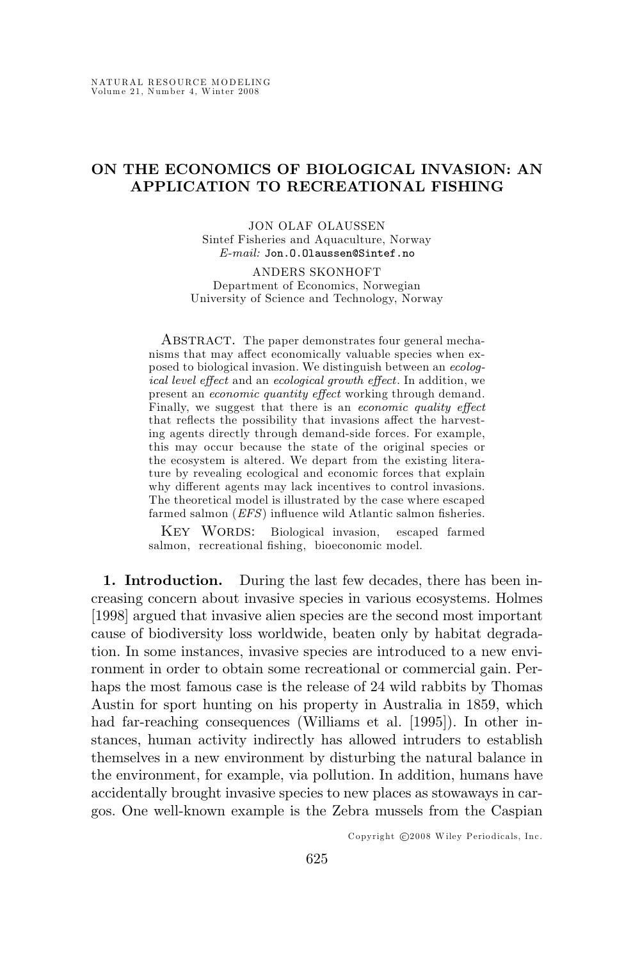# **ON THE ECONOMICS OF BIOLOGICAL INVASION: AN APPLICATION TO RECREATIONAL FISHING**

JON OLAF OLAUSSEN Sintef Fisheries and Aquaculture, Norway E-mail: Jon.O.Olaussen@Sintef.no

ANDERS SKONHOFT Department of Economics, Norwegian University of Science and Technology, Norway

ABSTRACT. The paper demonstrates four general mechanisms that may affect economically valuable species when exposed to biological invasion. We distinguish between an ecological level effect and an ecological growth effect. In addition, we present an economic quantity effect working through demand. Finally, we suggest that there is an economic quality effect that reflects the possibility that invasions affect the harvesting agents directly through demand-side forces. For example, this may occur because the state of the original species or the ecosystem is altered. We depart from the existing literature by revealing ecological and economic forces that explain why different agents may lack incentives to control invasions. The theoretical model is illustrated by the case where escaped farmed salmon (EFS) influence wild Atlantic salmon fisheries.

KEY WORDS: Biological invasion, escaped farmed salmon, recreational fishing, bioeconomic model.

**1. Introduction.** During the last few decades, there has been increasing concern about invasive species in various ecosystems. Holmes [1998] argued that invasive alien species are the second most important cause of biodiversity loss worldwide, beaten only by habitat degradation. In some instances, invasive species are introduced to a new environment in order to obtain some recreational or commercial gain. Perhaps the most famous case is the release of 24 wild rabbits by Thomas Austin for sport hunting on his property in Australia in 1859, which had far-reaching consequences (Williams et al. [1995]). In other instances, human activity indirectly has allowed intruders to establish themselves in a new environment by disturbing the natural balance in the environment, for example, via pollution. In addition, humans have accidentally brought invasive species to new places as stowaways in cargos. One well-known example is the Zebra mussels from the Caspian

Copyright ©2008 Wiley Periodicals, Inc.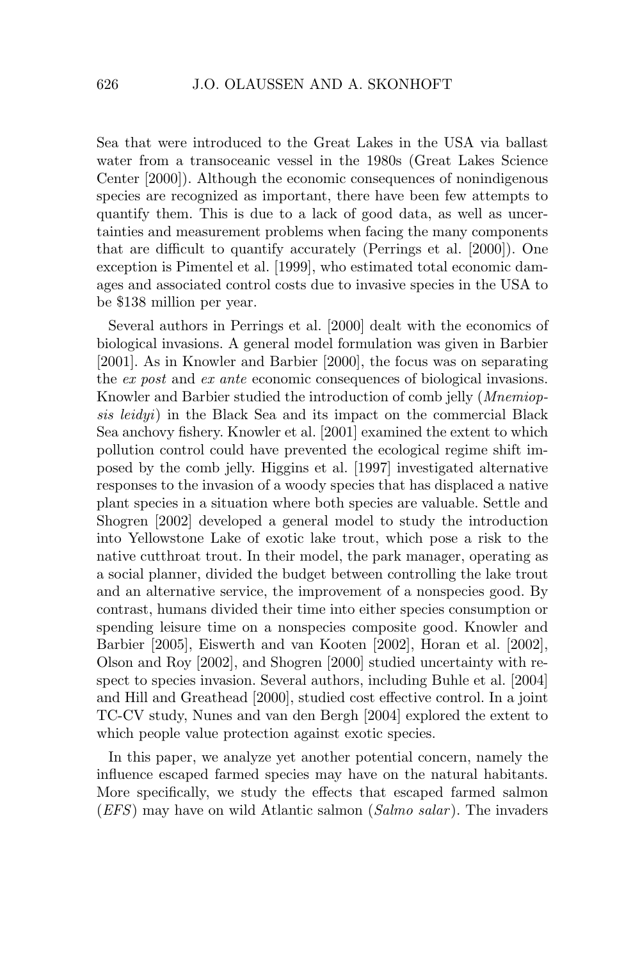Sea that were introduced to the Great Lakes in the USA via ballast water from a transoceanic vessel in the 1980s (Great Lakes Science Center [2000]). Although the economic consequences of nonindigenous species are recognized as important, there have been few attempts to quantify them. This is due to a lack of good data, as well as uncertainties and measurement problems when facing the many components that are difficult to quantify accurately (Perrings et al. [2000]). One exception is Pimentel et al. [1999], who estimated total economic damages and associated control costs due to invasive species in the USA to be \$138 million per year.

Several authors in Perrings et al. [2000] dealt with the economics of biological invasions. A general model formulation was given in Barbier [2001]. As in Knowler and Barbier [2000], the focus was on separating the ex post and ex ante economic consequences of biological invasions. Knowler and Barbier studied the introduction of comb jelly (Mnemiopsis leidyi) in the Black Sea and its impact on the commercial Black Sea anchovy fishery. Knowler et al. [2001] examined the extent to which pollution control could have prevented the ecological regime shift imposed by the comb jelly. Higgins et al. [1997] investigated alternative responses to the invasion of a woody species that has displaced a native plant species in a situation where both species are valuable. Settle and Shogren [2002] developed a general model to study the introduction into Yellowstone Lake of exotic lake trout, which pose a risk to the native cutthroat trout. In their model, the park manager, operating as a social planner, divided the budget between controlling the lake trout and an alternative service, the improvement of a nonspecies good. By contrast, humans divided their time into either species consumption or spending leisure time on a nonspecies composite good. Knowler and Barbier [2005], Eiswerth and van Kooten [2002], Horan et al. [2002], Olson and Roy [2002], and Shogren [2000] studied uncertainty with respect to species invasion. Several authors, including Buhle et al. [2004] and Hill and Greathead [2000], studied cost effective control. In a joint TC-CV study, Nunes and van den Bergh [2004] explored the extent to which people value protection against exotic species.

In this paper, we analyze yet another potential concern, namely the influence escaped farmed species may have on the natural habitants. More specifically, we study the effects that escaped farmed salmon  $(EFS)$  may have on wild Atlantic salmon  $(Salmo\ salar)$ . The invaders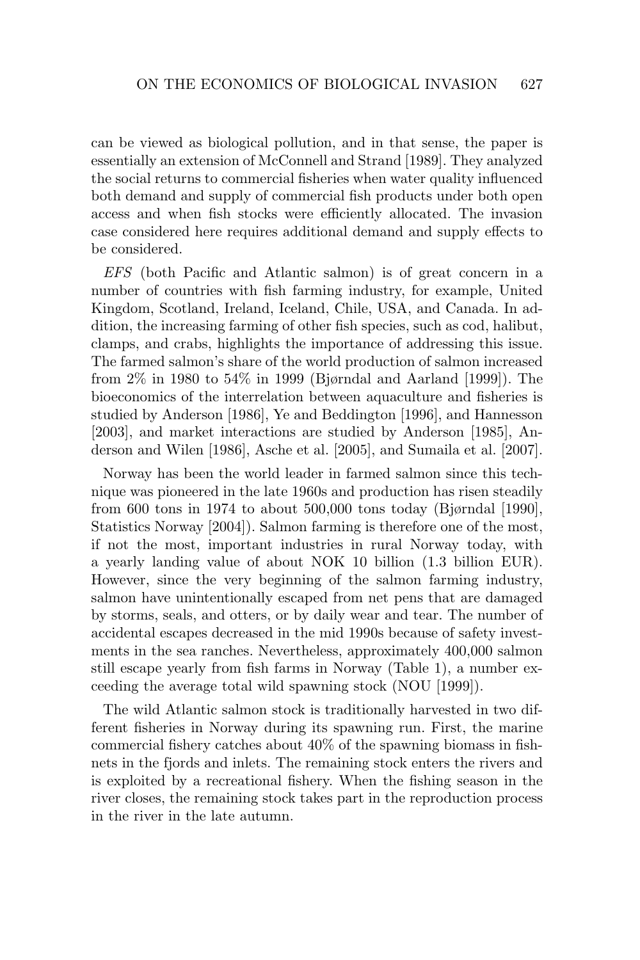can be viewed as biological pollution, and in that sense, the paper is essentially an extension of McConnell and Strand [1989]. They analyzed the social returns to commercial fisheries when water quality influenced both demand and supply of commercial fish products under both open access and when fish stocks were efficiently allocated. The invasion case considered here requires additional demand and supply effects to be considered.

EFS (both Pacific and Atlantic salmon) is of great concern in a number of countries with fish farming industry, for example, United Kingdom, Scotland, Ireland, Iceland, Chile, USA, and Canada. In addition, the increasing farming of other fish species, such as cod, halibut, clamps, and crabs, highlights the importance of addressing this issue. The farmed salmon's share of the world production of salmon increased from 2% in 1980 to 54% in 1999 (Bjørndal and Aarland [1999]). The bioeconomics of the interrelation between aquaculture and fisheries is studied by Anderson [1986], Ye and Beddington [1996], and Hannesson [2003], and market interactions are studied by Anderson [1985], Anderson and Wilen [1986], Asche et al. [2005], and Sumaila et al. [2007].

Norway has been the world leader in farmed salmon since this technique was pioneered in the late 1960s and production has risen steadily from 600 tons in 1974 to about 500,000 tons today (Bjørndal [1990], Statistics Norway [2004]). Salmon farming is therefore one of the most, if not the most, important industries in rural Norway today, with a yearly landing value of about NOK 10 billion (1.3 billion EUR). However, since the very beginning of the salmon farming industry, salmon have unintentionally escaped from net pens that are damaged by storms, seals, and otters, or by daily wear and tear. The number of accidental escapes decreased in the mid 1990s because of safety investments in the sea ranches. Nevertheless, approximately 400,000 salmon still escape yearly from fish farms in Norway (Table 1), a number exceeding the average total wild spawning stock (NOU [1999]).

The wild Atlantic salmon stock is traditionally harvested in two different fisheries in Norway during its spawning run. First, the marine commercial fishery catches about 40% of the spawning biomass in fishnets in the fjords and inlets. The remaining stock enters the rivers and is exploited by a recreational fishery. When the fishing season in the river closes, the remaining stock takes part in the reproduction process in the river in the late autumn.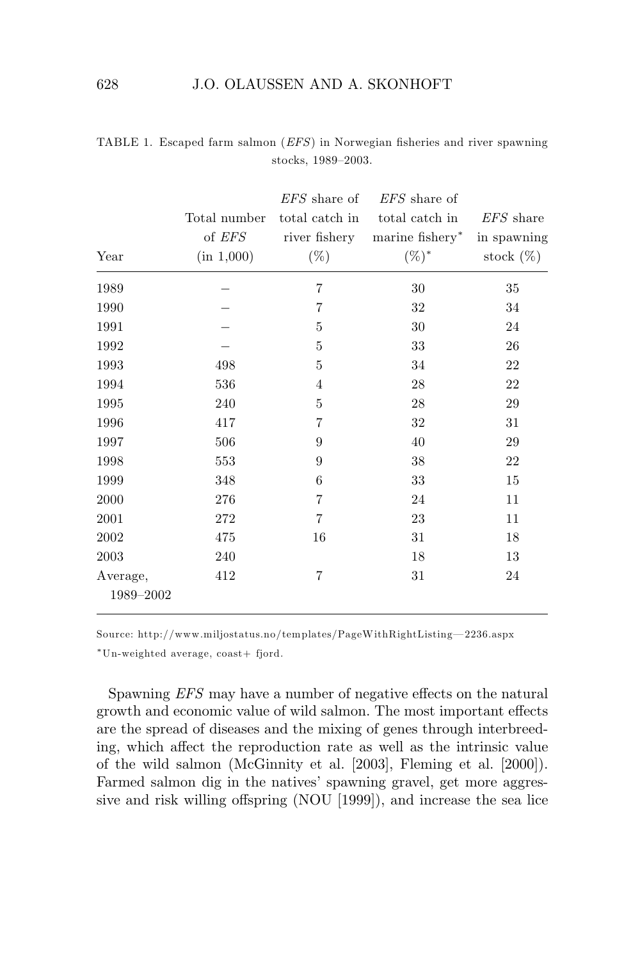## 628 J.O. OLAUSSEN AND A. SKONHOFT

|                       |              | <i>EFS</i> share of | <i>EFS</i> share of           |                  |
|-----------------------|--------------|---------------------|-------------------------------|------------------|
|                       | Total number |                     | total catch in total catch in | <i>EFS</i> share |
|                       | of EFS       | river fishery       | marine fishery*               | in spawning      |
| Year                  | (in 1,000)   | $(\%)$              | $(\%)^*$                      | stock $(\%)$     |
| 1989                  |              | 7                   | 30                            | 35               |
| 1990                  |              | 7                   | 32                            | 34               |
| 1991                  |              | 5                   | 30                            | 24               |
| 1992                  |              | 5                   | 33                            | 26               |
| 1993                  | 498          | 5                   | 34                            | 22               |
| 1994                  | 536          | $\overline{4}$      | 28                            | 22               |
| 1995                  | 240          | 5                   | 28                            | 29               |
| 1996                  | 417          | 7                   | 32                            | 31               |
| 1997                  | 506          | 9                   | 40                            | 29               |
| 1998                  | 553          | 9                   | 38                            | 22               |
| 1999                  | 348          | 6                   | 33                            | 15               |
| 2000                  | 276          | 7                   | 24                            | 11               |
| 2001                  | 272          | $\overline{7}$      | 23                            | 11               |
| 2002                  | 475          | 16                  | 31                            | 18               |
| 2003                  | 240          |                     | 18                            | 13               |
| Average,<br>1989-2002 | 412          | $\overline{7}$      | 31                            | 24               |

| TABLE 1. Escaped farm salmon <i>(EFS)</i> in Norwegian fisheries and river spawning |                    |  |  |  |
|-------------------------------------------------------------------------------------|--------------------|--|--|--|
|                                                                                     | stocks, 1989–2003. |  |  |  |

Source: http://www.miljostatus.no/templates/PageWithRightListing—2236.aspx ∗Un-weighted average, coast+ fjord.

Spawning EFS may have a number of negative effects on the natural growth and economic value of wild salmon. The most important effects are the spread of diseases and the mixing of genes through interbreeding, which affect the reproduction rate as well as the intrinsic value of the wild salmon (McGinnity et al. [2003], Fleming et al. [2000]). Farmed salmon dig in the natives' spawning gravel, get more aggressive and risk willing offspring (NOU [1999]), and increase the sea lice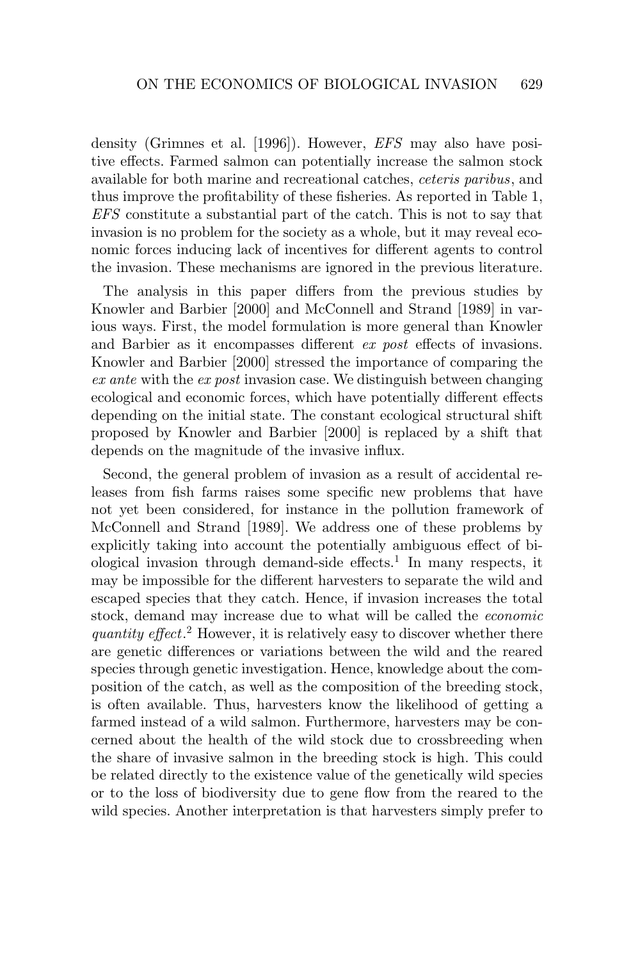density (Grimnes et al. [1996]). However, EFS may also have positive effects. Farmed salmon can potentially increase the salmon stock available for both marine and recreational catches, ceteris paribus, and thus improve the profitability of these fisheries. As reported in Table 1, EFS constitute a substantial part of the catch. This is not to say that invasion is no problem for the society as a whole, but it may reveal economic forces inducing lack of incentives for different agents to control the invasion. These mechanisms are ignored in the previous literature.

The analysis in this paper differs from the previous studies by Knowler and Barbier [2000] and McConnell and Strand [1989] in various ways. First, the model formulation is more general than Knowler and Barbier as it encompasses different ex post effects of invasions. Knowler and Barbier [2000] stressed the importance of comparing the ex ante with the ex post invasion case. We distinguish between changing ecological and economic forces, which have potentially different effects depending on the initial state. The constant ecological structural shift proposed by Knowler and Barbier [2000] is replaced by a shift that depends on the magnitude of the invasive influx.

Second, the general problem of invasion as a result of accidental releases from fish farms raises some specific new problems that have not yet been considered, for instance in the pollution framework of McConnell and Strand [1989]. We address one of these problems by explicitly taking into account the potentially ambiguous effect of biological invasion through demand-side effects.<sup>1</sup> In many respects, it may be impossible for the different harvesters to separate the wild and escaped species that they catch. Hence, if invasion increases the total stock, demand may increase due to what will be called the economic quantity effect.<sup>2</sup> However, it is relatively easy to discover whether there are genetic differences or variations between the wild and the reared species through genetic investigation. Hence, knowledge about the composition of the catch, as well as the composition of the breeding stock, is often available. Thus, harvesters know the likelihood of getting a farmed instead of a wild salmon. Furthermore, harvesters may be concerned about the health of the wild stock due to crossbreeding when the share of invasive salmon in the breeding stock is high. This could be related directly to the existence value of the genetically wild species or to the loss of biodiversity due to gene flow from the reared to the wild species. Another interpretation is that harvesters simply prefer to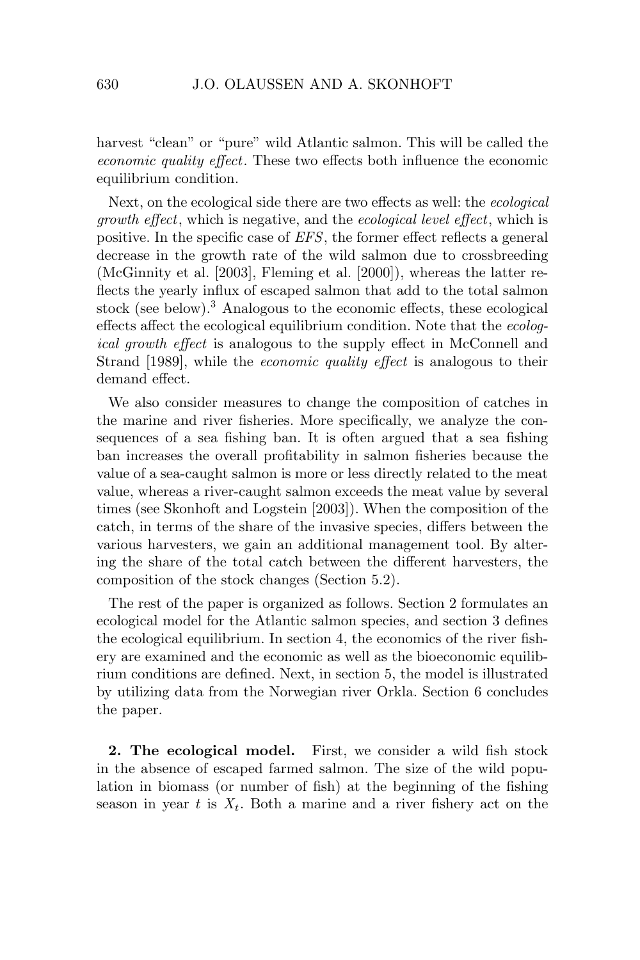harvest "clean" or "pure" wild Atlantic salmon. This will be called the economic quality effect. These two effects both influence the economic equilibrium condition.

Next, on the ecological side there are two effects as well: the ecological growth effect, which is negative, and the ecological level effect, which is positive. In the specific case of EFS, the former effect reflects a general decrease in the growth rate of the wild salmon due to crossbreeding (McGinnity et al. [2003], Fleming et al. [2000]), whereas the latter reflects the yearly influx of escaped salmon that add to the total salmon stock (see below).<sup>3</sup> Analogous to the economic effects, these ecological effects affect the ecological equilibrium condition. Note that the ecological growth effect is analogous to the supply effect in McConnell and Strand [1989], while the economic quality effect is analogous to their demand effect.

We also consider measures to change the composition of catches in the marine and river fisheries. More specifically, we analyze the consequences of a sea fishing ban. It is often argued that a sea fishing ban increases the overall profitability in salmon fisheries because the value of a sea-caught salmon is more or less directly related to the meat value, whereas a river-caught salmon exceeds the meat value by several times (see Skonhoft and Logstein [2003]). When the composition of the catch, in terms of the share of the invasive species, differs between the various harvesters, we gain an additional management tool. By altering the share of the total catch between the different harvesters, the composition of the stock changes (Section 5.2).

The rest of the paper is organized as follows. Section 2 formulates an ecological model for the Atlantic salmon species, and section 3 defines the ecological equilibrium. In section 4, the economics of the river fishery are examined and the economic as well as the bioeconomic equilibrium conditions are defined. Next, in section 5, the model is illustrated by utilizing data from the Norwegian river Orkla. Section 6 concludes the paper.

**2. The ecological model.** First, we consider a wild fish stock in the absence of escaped farmed salmon. The size of the wild population in biomass (or number of fish) at the beginning of the fishing season in year t is  $X_t$ . Both a marine and a river fishery act on the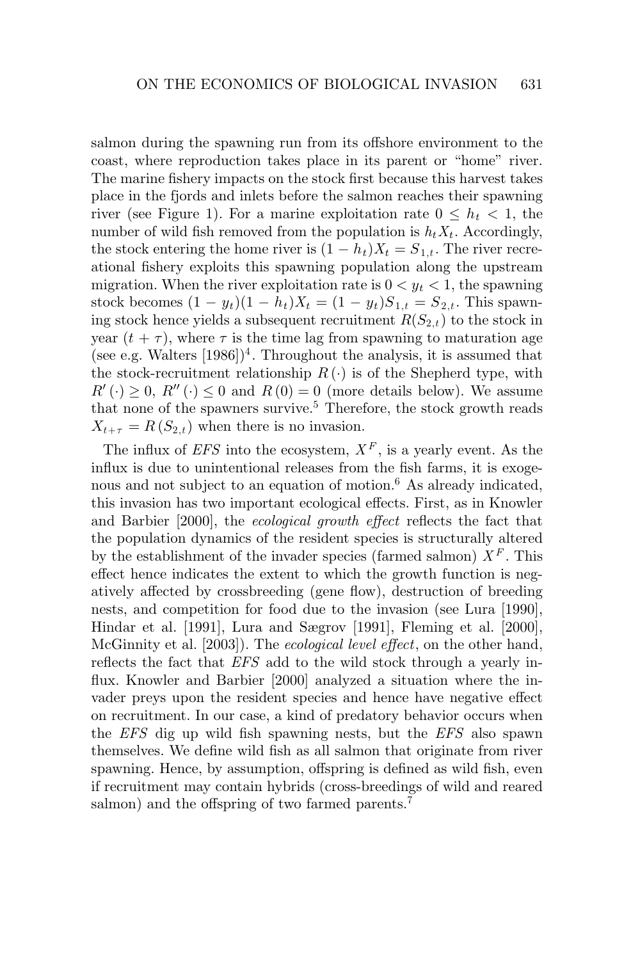salmon during the spawning run from its offshore environment to the coast, where reproduction takes place in its parent or "home" river. The marine fishery impacts on the stock first because this harvest takes place in the fjords and inlets before the salmon reaches their spawning river (see Figure 1). For a marine exploitation rate  $0 \leq h_t < 1$ , the number of wild fish removed from the population is  $h_t X_t$ . Accordingly, the stock entering the home river is  $(1 - h_t)X_t = S_{1,t}$ . The river recreational fishery exploits this spawning population along the upstream migration. When the river exploitation rate is  $0 < y_t < 1$ , the spawning stock becomes  $(1 - y_t)(1 - h_t)X_t = (1 - y_t)S_{1,t} = S_{2,t}$ . This spawning stock hence yields a subsequent recruitment  $R(S_{2,t})$  to the stock in year  $(t + \tau)$ , where  $\tau$  is the time lag from spawning to maturation age (see e.g. Walters  $[1986]$ <sup>4</sup>. Throughout the analysis, it is assumed that the stock-recruitment relationship  $R(\cdot)$  is of the Shepherd type, with  $R'(\cdot) \geq 0$ ,  $R''(\cdot) \leq 0$  and  $R(0) = 0$  (more details below). We assume that none of the spawners survive.<sup>5</sup> Therefore, the stock growth reads  $X_{t+\tau} = R(S_{2,t})$  when there is no invasion.

The influx of  $EFS$  into the ecosystem,  $X^F$ , is a yearly event. As the influx is due to unintentional releases from the fish farms, it is exogenous and not subject to an equation of motion.<sup>6</sup> As already indicated, this invasion has two important ecological effects. First, as in Knowler and Barbier [2000], the ecological growth effect reflects the fact that the population dynamics of the resident species is structurally altered by the establishment of the invader species (farmed salmon)  $X^F$ . This effect hence indicates the extent to which the growth function is negatively affected by crossbreeding (gene flow), destruction of breeding nests, and competition for food due to the invasion (see Lura [1990], Hindar et al. [1991], Lura and Sægrov [1991], Fleming et al. [2000], McGinnity et al. [2003]). The *ecological level effect*, on the other hand, reflects the fact that *EFS* add to the wild stock through a yearly influx. Knowler and Barbier [2000] analyzed a situation where the invader preys upon the resident species and hence have negative effect on recruitment. In our case, a kind of predatory behavior occurs when the EFS dig up wild fish spawning nests, but the EFS also spawn themselves. We define wild fish as all salmon that originate from river spawning. Hence, by assumption, offspring is defined as wild fish, even if recruitment may contain hybrids (cross-breedings of wild and reared salmon) and the offspring of two farmed parents.<sup>7</sup>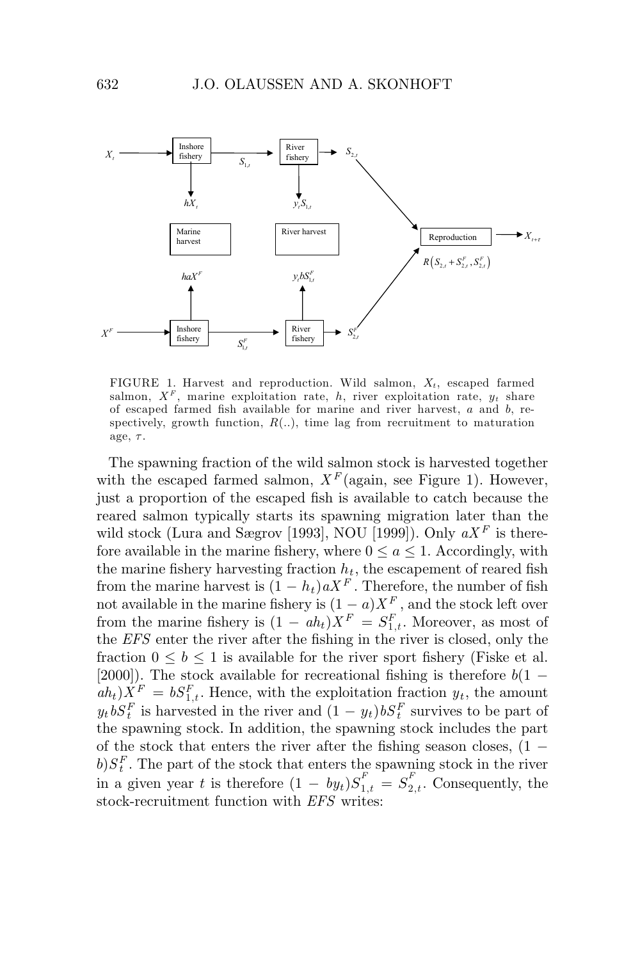

FIGURE 1. Harvest and reproduction. Wild salmon,  $X_t$ , escaped farmed salmon,  $X^F$ , marine exploitation rate, h, river exploitation rate,  $y_t$  share of escaped farmed fish available for marine and river harvest,  $a$  and  $b$ , respectively, growth function,  $R(.)$ , time lag from recruitment to maturation age,  $\tau$ .

The spawning fraction of the wild salmon stock is harvested together with the escaped farmed salmon,  $X^F$  (again, see Figure 1). However, just a proportion of the escaped fish is available to catch because the reared salmon typically starts its spawning migration later than the wild stock (Lura and Sægrov [1993], NOU [1999]). Only  $aX^F$  is therefore available in the marine fishery, where  $0 \le a \le 1$ . Accordingly, with the marine fishery harvesting fraction  $h_t$ , the escapement of reared fish from the marine harvest is  $(1 - h_t)aX^F$ . Therefore, the number of fish not available in the marine fishery is  $(1 - a)X^F$ , and the stock left over from the marine fishery is  $(1 - ah_t)X^F = S^F_{1,t}$ . Moreover, as most of the EFS enter the river after the fishing in the river is closed, only the fraction  $0 \leq b \leq 1$  is available for the river sport fishery (Fiske et al. [2000]). The stock available for recreational fishing is therefore  $b(1$  $ah_t$ ) $X^F = bS_{1,t}^F$ . Hence, with the exploitation fraction  $y_t$ , the amount  $y_t$  bS<sup>F</sup><sub>t</sub> is harvested in the river and  $(1 - y_t)$  bS<sup>F</sup><sub>t</sub> survives to be part of the spawning stock. In addition, the spawning stock includes the part of the stock that enters the river after the fishing season closes,  $(1$  $b) S_t^F$ . The part of the stock that enters the spawning stock in the river in a given year t is therefore  $(1 - by_t)S_{1,t}^F = S_{2,t}^F$ . Consequently, the stock-recruitment function with EFS writes: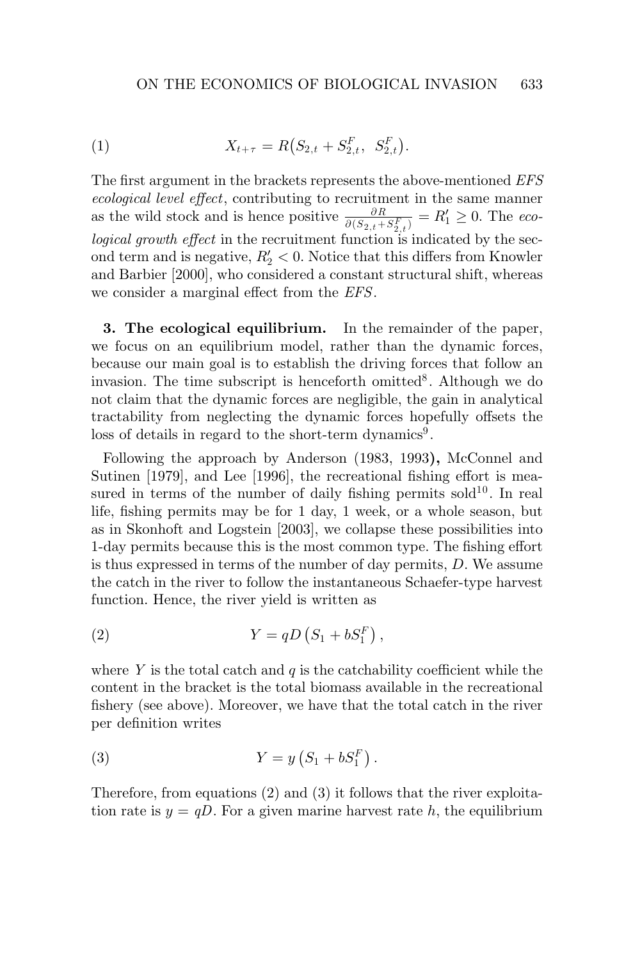(1) 
$$
X_{t+\tau} = R(S_{2,t} + S_{2,t}^F, S_{2,t}^F).
$$

The first argument in the brackets represents the above-mentioned EFS ecological level effect, contributing to recruitment in the same manner as the wild stock and is hence positive  $\frac{\partial R}{\partial (S_{2,t} + S_{2,t}^F)} = R'_1 \geq 0$ . The ecological growth effect in the recruitment function is indicated by the second term and is negative,  $R'_2 < 0$ . Notice that this differs from Knowler and Barbier [2000], who considered a constant structural shift, whereas we consider a marginal effect from the EFS.

**3. The ecological equilibrium.** In the remainder of the paper, we focus on an equilibrium model, rather than the dynamic forces, because our main goal is to establish the driving forces that follow an invasion. The time subscript is henceforth omitted<sup>8</sup>. Although we do not claim that the dynamic forces are negligible, the gain in analytical tractability from neglecting the dynamic forces hopefully offsets the  $\cos$  of details in regard to the short-term dynamics<sup>9</sup>.

Following the approach by Anderson (1983, 1993**),** McConnel and Sutinen [1979], and Lee [1996], the recreational fishing effort is measured in terms of the number of daily fishing permits sold<sup>10</sup>. In real life, fishing permits may be for 1 day, 1 week, or a whole season, but as in Skonhoft and Logstein [2003], we collapse these possibilities into 1-day permits because this is the most common type. The fishing effort is thus expressed in terms of the number of day permits, D. We assume the catch in the river to follow the instantaneous Schaefer-type harvest function. Hence, the river yield is written as

$$
(2) \t Y = qD(S_1 + bS_1^F),
$$

where Y is the total catch and  $q$  is the catchability coefficient while the content in the bracket is the total biomass available in the recreational fishery (see above). Moreover, we have that the total catch in the river per definition writes

(3) 
$$
Y = y (S_1 + bS_1^F).
$$

Therefore, from equations (2) and (3) it follows that the river exploitation rate is  $y = qD$ . For a given marine harvest rate h, the equilibrium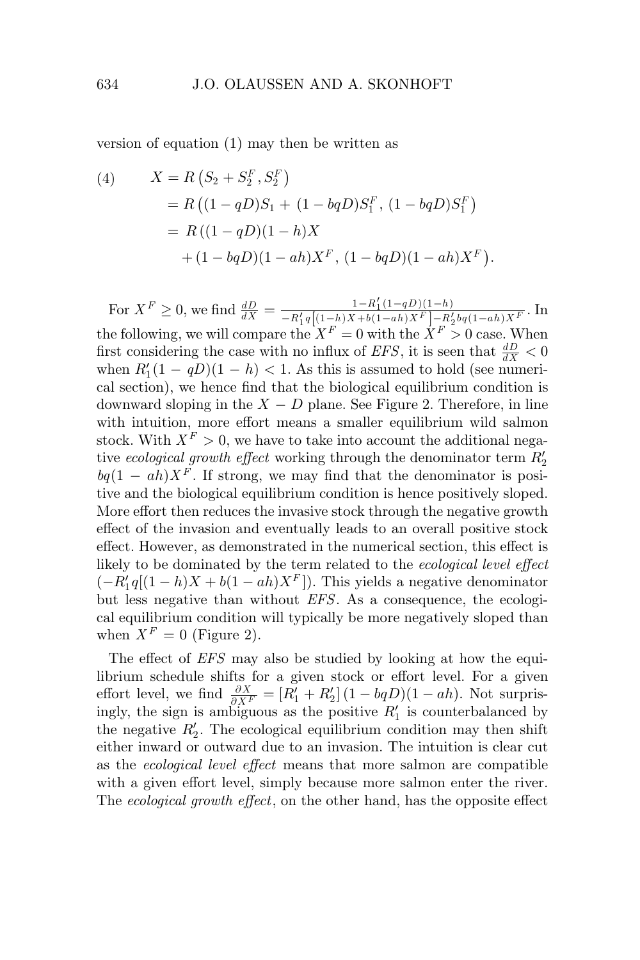version of equation (1) may then be written as

(4) 
$$
X = R(S_2 + S_2^F, S_2^F)
$$
  
=  $R((1 - qD)S_1 + (1 - bqD)S_1^F, (1 - bqD)S_1^F)$   
=  $R((1 - qD)(1 - h)X$   
+  $(1 - bqD)(1 - ah)X^F, (1 - bqD)(1 - ah)X^F).$ 

For  $X^F \geq 0$ , we find  $\frac{dD}{dX} = \frac{1 - R'_1(1 - qD)(1 - h)}{R'_1 q \left[ (1 - h)X + b(1 - a h)X^F \right] - R'_2}$  $\frac{1 - h_1(1-qD)(1-h)}{-R'_1 q \left[ (1-h)X + b(1-ah)X^F \right] - R'_2 b q (1-ah)X^F}$ . In the following, we will compare the  $X^F = 0$  with the  $X^F > 0$  case. When first considering the case with no influx of EFS, it is seen that  $\frac{dD}{dX} < 0$ when  $R'_1(1 - qD)(1 - h) < 1$ . As this is assumed to hold (see numerical section), we hence find that the biological equilibrium condition is downward sloping in the  $X - D$  plane. See Figure 2. Therefore, in line with intuition, more effort means a smaller equilibrium wild salmon stock. With  $X^F > 0$ , we have to take into account the additional negative *ecological growth effect* working through the denominator term  $R'_2$  $bq(1 - ah)X<sup>F</sup>$ . If strong, we may find that the denominator is positive and the biological equilibrium condition is hence positively sloped. More effort then reduces the invasive stock through the negative growth effect of the invasion and eventually leads to an overall positive stock effect. However, as demonstrated in the numerical section, this effect is likely to be dominated by the term related to the ecological level effect  $(-R'_1q[(1-h)X + b(1-ah)X^F])$ . This yields a negative denominator but less negative than without EFS. As a consequence, the ecological equilibrium condition will typically be more negatively sloped than when  $X^F = 0$  (Figure 2).

The effect of EFS may also be studied by looking at how the equilibrium schedule shifts for a given stock or effort level. For a given effort level, we find  $\frac{\partial X}{\partial X^F} = [R'_1 + R'_2] (1 - bqD)(1 - ah)$ . Not surprisingly, the sign is ambiguous as the positive  $R'_1$  is counterbalanced by the negative  $R'_2$ . The ecological equilibrium condition may then shift either inward or outward due to an invasion. The intuition is clear cut as the ecological level effect means that more salmon are compatible with a given effort level, simply because more salmon enter the river. The *ecological growth effect*, on the other hand, has the opposite effect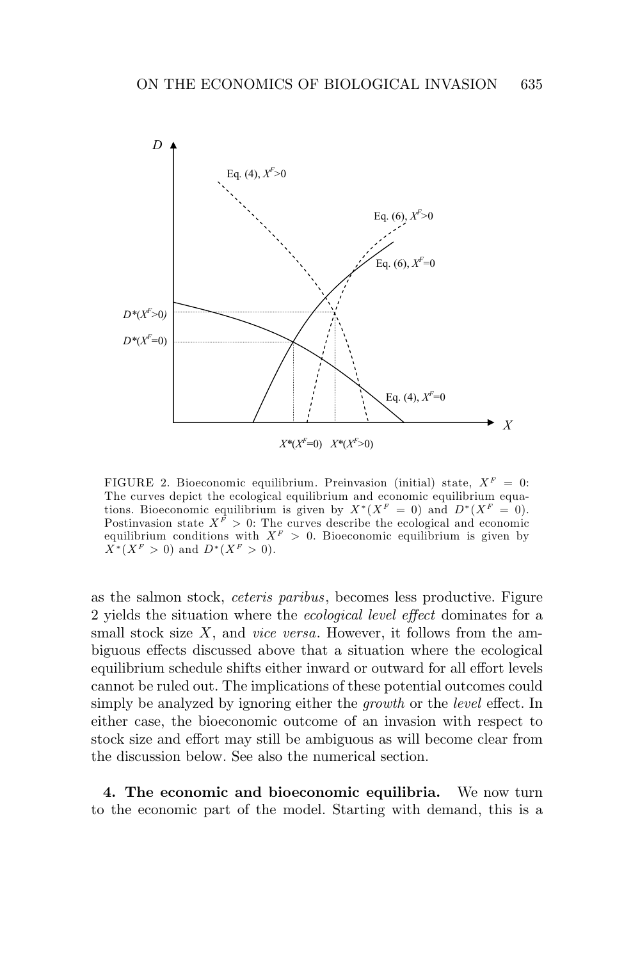

FIGURE 2. Bioeconomic equilibrium. Preinvasion (initial) state,  $X^F = 0$ : The curves depict the ecological equilibrium and economic equilibrium equations. Bioeconomic equilibrium is given by  $X^*(X^F = 0)$  and  $D^*(X^F = 0)$ . Postinvasion state  $X^F > 0$ : The curves describe the ecological and economic equilibrium conditions with  $X^F > 0$ . Bioeconomic equilibrium is given by  $X^*(X^F > 0)$  and  $D^*(X^F > 0)$ .

as the salmon stock, ceteris paribus, becomes less productive. Figure 2 yields the situation where the ecological level effect dominates for a small stock size  $X$ , and *vice versa*. However, it follows from the ambiguous effects discussed above that a situation where the ecological equilibrium schedule shifts either inward or outward for all effort levels cannot be ruled out. The implications of these potential outcomes could simply be analyzed by ignoring either the *growth* or the *level* effect. In either case, the bioeconomic outcome of an invasion with respect to stock size and effort may still be ambiguous as will become clear from the discussion below. See also the numerical section.

**4. The economic and bioeconomic equilibria.** We now turn to the economic part of the model. Starting with demand, this is a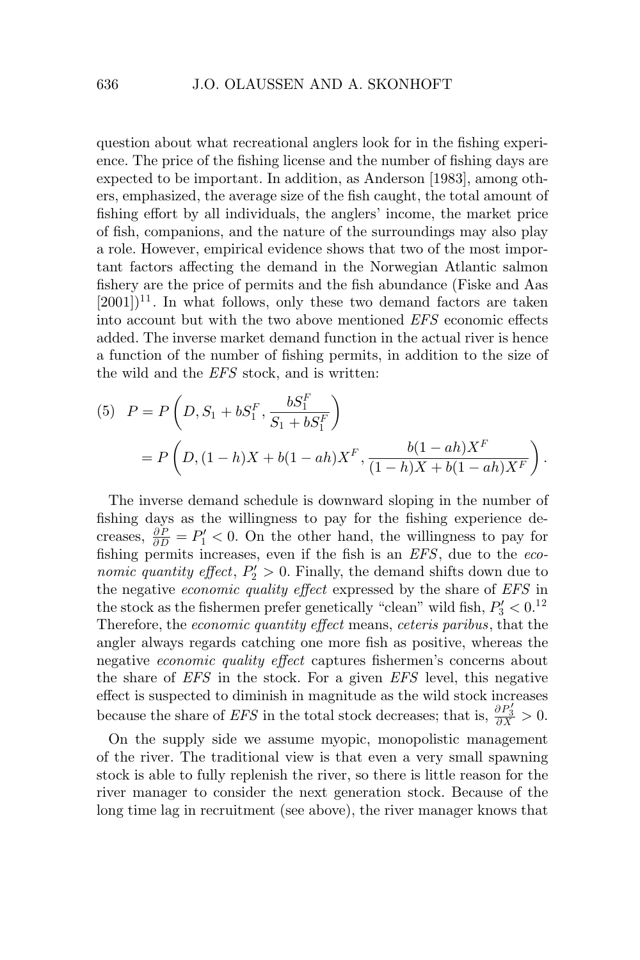question about what recreational anglers look for in the fishing experience. The price of the fishing license and the number of fishing days are expected to be important. In addition, as Anderson [1983], among others, emphasized, the average size of the fish caught, the total amount of fishing effort by all individuals, the anglers' income, the market price of fish, companions, and the nature of the surroundings may also play a role. However, empirical evidence shows that two of the most important factors affecting the demand in the Norwegian Atlantic salmon fishery are the price of permits and the fish abundance (Fiske and Aas  $[2001]$ <sup>11</sup>. In what follows, only these two demand factors are taken into account but with the two above mentioned EFS economic effects added. The inverse market demand function in the actual river is hence a function of the number of fishing permits, in addition to the size of the wild and the EFS stock, and is written:

(5) 
$$
P = P\left(D, S_1 + bS_1^F, \frac{bS_1^F}{S_1 + bS_1^F}\right)
$$
  
=  $P\left(D, (1-h)X + b(1 - ah)X^F, \frac{b(1 - ah)X^F}{(1 - h)X + b(1 - ah)X^F}\right).$ 

The inverse demand schedule is downward sloping in the number of fishing days as the willingness to pay for the fishing experience decreases,  $\frac{\partial P}{\partial D} = P'_1 < 0$ . On the other hand, the willingness to pay for fishing permits increases, even if the fish is an  $EFS$ , due to the eco*nomic quantity effect*,  $P'_2 > 0$ . Finally, the demand shifts down due to the negative economic quality effect expressed by the share of EFS in the stock as the fishermen prefer genetically "clean" wild fish,  $P_3^\prime < 0.12$ Therefore, the economic quantity effect means, ceteris paribus, that the angler always regards catching one more fish as positive, whereas the negative economic quality effect captures fishermen's concerns about the share of EFS in the stock. For a given EFS level, this negative effect is suspected to diminish in magnitude as the wild stock increases because the share of EFS in the total stock decreases; that is,  $\frac{\partial P'_3}{\partial X} > 0$ .

On the supply side we assume myopic, monopolistic management of the river. The traditional view is that even a very small spawning stock is able to fully replenish the river, so there is little reason for the river manager to consider the next generation stock. Because of the long time lag in recruitment (see above), the river manager knows that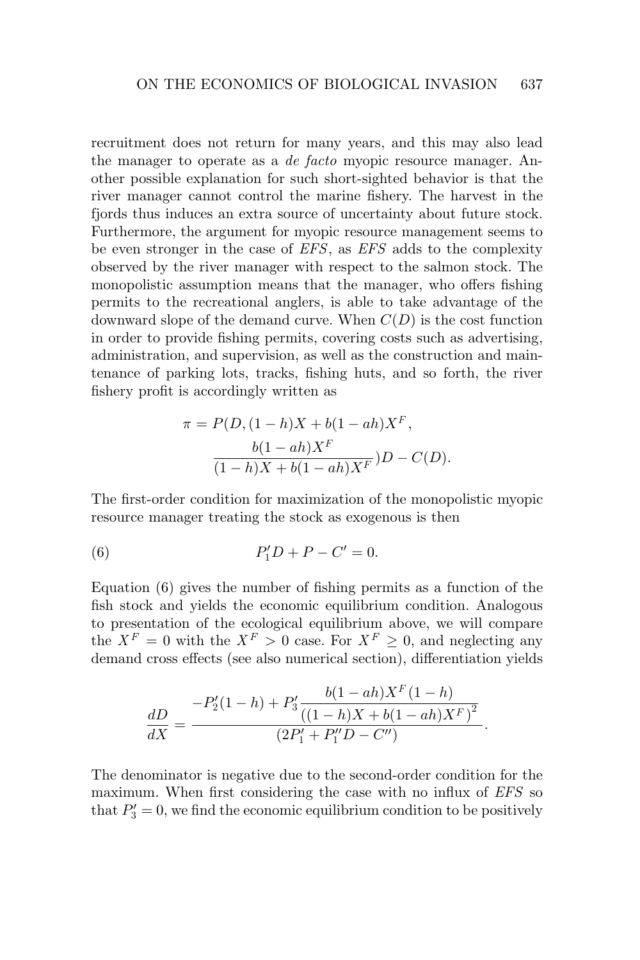recruitment does not return for many years, and this may also lead the manager to operate as a *de facto* myopic resource manager. Another possible explanation for such short-sighted behavior is that the river manager cannot control the marine fishery. The harvest in the fjords thus induces an extra source of uncertainty about future stock. Furthermore, the argument for myopic resource management seems to be even stronger in the case of EFS, as EFS adds to the complexity observed by the river manager with respect to the salmon stock. The monopolistic assumption means that the manager, who offers fishing permits to the recreational anglers, is able to take advantage of the downward slope of the demand curve. When  $C(D)$  is the cost function in order to provide fishing permits, covering costs such as advertising, administration, and supervision, as well as the construction and maintenance of parking lots, tracks, fishing huts, and so forth, the river fishery profit is accordingly written as

$$
\pi = P(D, (1-h)X + b(1-ah)X^{F},
$$

$$
\frac{b(1-ah)X^{F}}{(1-h)X + b(1-ah)X^{F}})D - C(D).
$$

The first-order condition for maximization of the monopolistic myopic resource manager treating the stock as exogenous is then

(6) 
$$
P'_1 D + P - C' = 0.
$$

Equation (6) gives the number of fishing permits as a function of the fish stock and yields the economic equilibrium condition. Analogous to presentation of the ecological equilibrium above, we will compare the  $X^F = 0$  with the  $X^F > 0$  case. For  $X^F > 0$ , and neglecting any demand cross effects (see also numerical section), differentiation yields

$$
\frac{dD}{dX} = \frac{-P_2'(1-h) + P_3'\frac{b(1-ah)X^F(1-h)}{((1-h)X+b(1-ah)X^F)^2}}{(2P_1'+P_1''D-C'')}.
$$

The denominator is negative due to the second-order condition for the maximum. When first considering the case with no influx of EFS so that  $P'_3 = 0$ , we find the economic equilibrium condition to be positively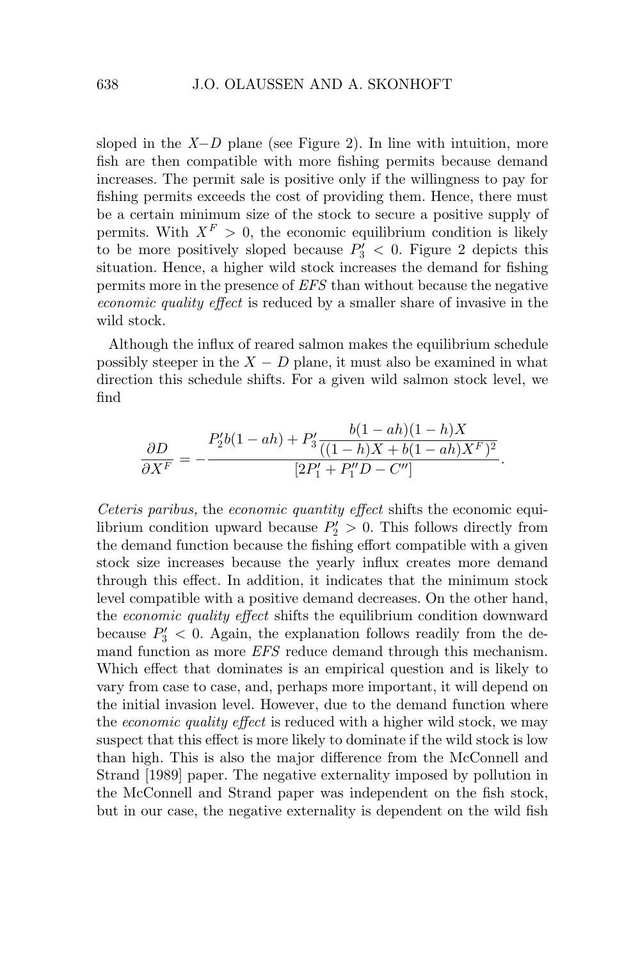sloped in the  $X-D$  plane (see Figure 2). In line with intuition, more fish are then compatible with more fishing permits because demand increases. The permit sale is positive only if the willingness to pay for fishing permits exceeds the cost of providing them. Hence, there must be a certain minimum size of the stock to secure a positive supply of permits. With  $X^F > 0$ , the economic equilibrium condition is likely to be more positively sloped because  $P'_3 < 0$ . Figure 2 depicts this situation. Hence, a higher wild stock increases the demand for fishing permits more in the presence of EFS than without because the negative economic quality effect is reduced by a smaller share of invasive in the wild stock.

Although the influx of reared salmon makes the equilibrium schedule possibly steeper in the  $X - D$  plane, it must also be examined in what direction this schedule shifts. For a given wild salmon stock level, we find

$$
\frac{\partial D}{\partial X^F} = -\frac{P_2'b(1-ah) + P_3'\frac{b(1-ah)(1-h)X}{((1-h)X+b(1-ah)X^F)^2}}{[2P_1' + P_1''D - C'']}.
$$

Ceteris paribus, the economic quantity effect shifts the economic equilibrium condition upward because  $P'_2 > 0$ . This follows directly from the demand function because the fishing effort compatible with a given stock size increases because the yearly influx creates more demand through this effect. In addition, it indicates that the minimum stock level compatible with a positive demand decreases. On the other hand, the economic quality effect shifts the equilibrium condition downward because  $P'_3 < 0$ . Again, the explanation follows readily from the demand function as more EFS reduce demand through this mechanism. Which effect that dominates is an empirical question and is likely to vary from case to case, and, perhaps more important, it will depend on the initial invasion level. However, due to the demand function where the economic quality effect is reduced with a higher wild stock, we may suspect that this effect is more likely to dominate if the wild stock is low than high. This is also the major difference from the McConnell and Strand [1989] paper. The negative externality imposed by pollution in the McConnell and Strand paper was independent on the fish stock, but in our case, the negative externality is dependent on the wild fish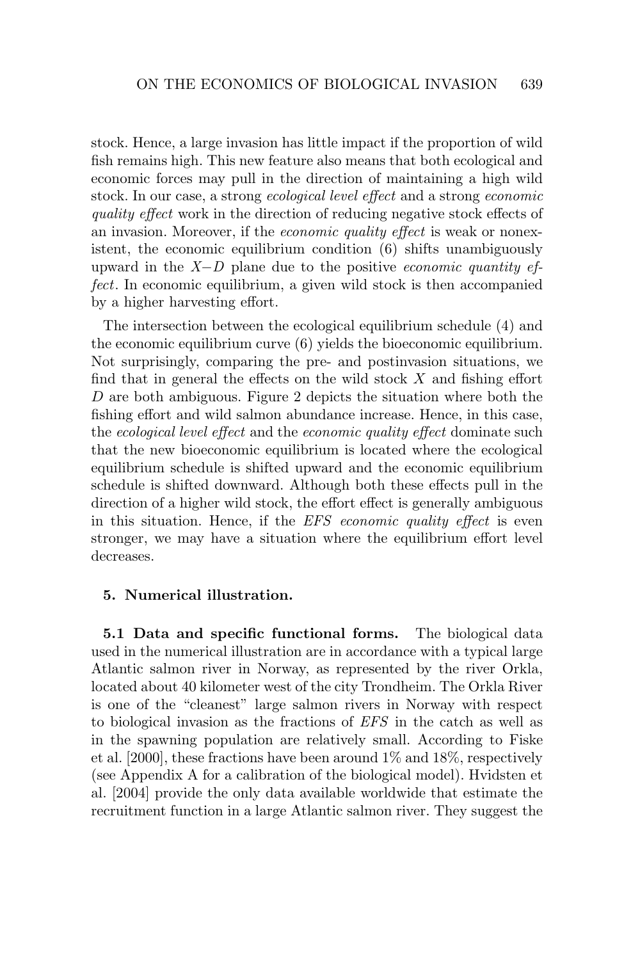stock. Hence, a large invasion has little impact if the proportion of wild fish remains high. This new feature also means that both ecological and economic forces may pull in the direction of maintaining a high wild stock. In our case, a strong ecological level effect and a strong economic quality effect work in the direction of reducing negative stock effects of an invasion. Moreover, if the *economic quality effect* is weak or nonexistent, the economic equilibrium condition (6) shifts unambiguously upward in the  $X-D$  plane due to the positive *economic quantity ef*fect. In economic equilibrium, a given wild stock is then accompanied by a higher harvesting effort.

The intersection between the ecological equilibrium schedule (4) and the economic equilibrium curve (6) yields the bioeconomic equilibrium. Not surprisingly, comparing the pre- and postinvasion situations, we find that in general the effects on the wild stock  $X$  and fishing effort D are both ambiguous. Figure 2 depicts the situation where both the fishing effort and wild salmon abundance increase. Hence, in this case, the ecological level effect and the economic quality effect dominate such that the new bioeconomic equilibrium is located where the ecological equilibrium schedule is shifted upward and the economic equilibrium schedule is shifted downward. Although both these effects pull in the direction of a higher wild stock, the effort effect is generally ambiguous in this situation. Hence, if the EFS economic quality effect is even stronger, we may have a situation where the equilibrium effort level decreases.

## **5. Numerical illustration.**

**5.1 Data and specific functional forms.** The biological data used in the numerical illustration are in accordance with a typical large Atlantic salmon river in Norway, as represented by the river Orkla, located about 40 kilometer west of the city Trondheim. The Orkla River is one of the "cleanest" large salmon rivers in Norway with respect to biological invasion as the fractions of EFS in the catch as well as in the spawning population are relatively small. According to Fiske et al. [2000], these fractions have been around  $1\%$  and  $18\%$ , respectively (see Appendix A for a calibration of the biological model). Hvidsten et al. [2004] provide the only data available worldwide that estimate the recruitment function in a large Atlantic salmon river. They suggest the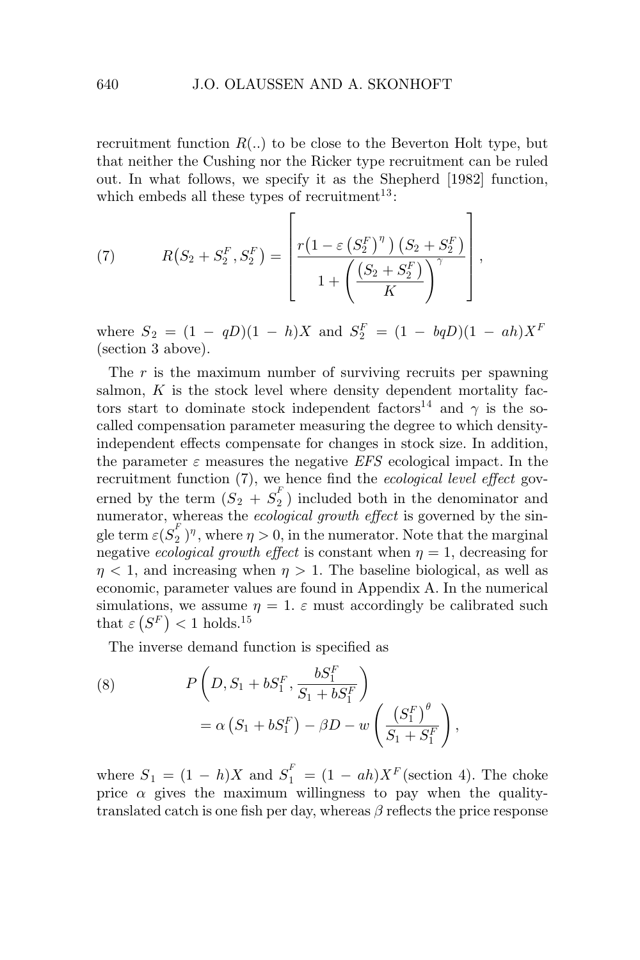recruitment function  $R(.)$  to be close to the Beverton Holt type, but that neither the Cushing nor the Ricker type recruitment can be ruled out. In what follows, we specify it as the Shepherd [1982] function, which embeds all these types of recruitment<sup>13</sup>:

(7) 
$$
R(S_2 + S_2^F, S_2^F) = \left[ \frac{r(1 - \varepsilon (S_2^F)^\eta) (S_2 + S_2^F)}{1 + \left(\frac{(S_2 + S_2^F)}{K}\right)^\gamma} \right],
$$

where  $S_2 = (1 - qD)(1 - h)X$  and  $S_2^F = (1 - bqD)(1 - ah)X^F$ (section 3 above).

The  $r$  is the maximum number of surviving recruits per spawning salmon,  $K$  is the stock level where density dependent mortality factors start to dominate stock independent factors<sup>14</sup> and  $\gamma$  is the socalled compensation parameter measuring the degree to which densityindependent effects compensate for changes in stock size. In addition, the parameter  $\varepsilon$  measures the negative *EFS* ecological impact. In the recruitment function (7), we hence find the *ecological level effect* governed by the term  $(S_2 + S_2^F)$  included both in the denominator and numerator, whereas the ecological growth effect is governed by the single term  $\varepsilon(S_2^F)$ <sup>*n*</sup>, where  $\eta > 0$ , in the numerator. Note that the marginal negative ecological growth effect is constant when  $\eta = 1$ , decreasing for  $\eta$  < 1, and increasing when  $\eta$  > 1. The baseline biological, as well as economic, parameter values are found in Appendix A. In the numerical simulations, we assume  $\eta = 1$ .  $\varepsilon$  must accordingly be calibrated such that  $\varepsilon(S^F) < 1$  holds.<sup>15</sup>

The inverse demand function is specified as

(8) 
$$
P\left(D, S_1 + bS_1^F, \frac{bS_1^F}{S_1 + bS_1^F}\right)
$$

$$
= \alpha \left(S_1 + bS_1^F\right) - \beta D - w \left(\frac{\left(S_1^F\right)^{\theta}}{S_1 + S_1^F}\right),
$$

where  $S_1 = (1 - h)X$  and  $S_1^F = (1 - ah)X^F$  (section 4). The choke price  $\alpha$  gives the maximum willingness to pay when the qualitytranslated catch is one fish per day, whereas  $\beta$  reflects the price response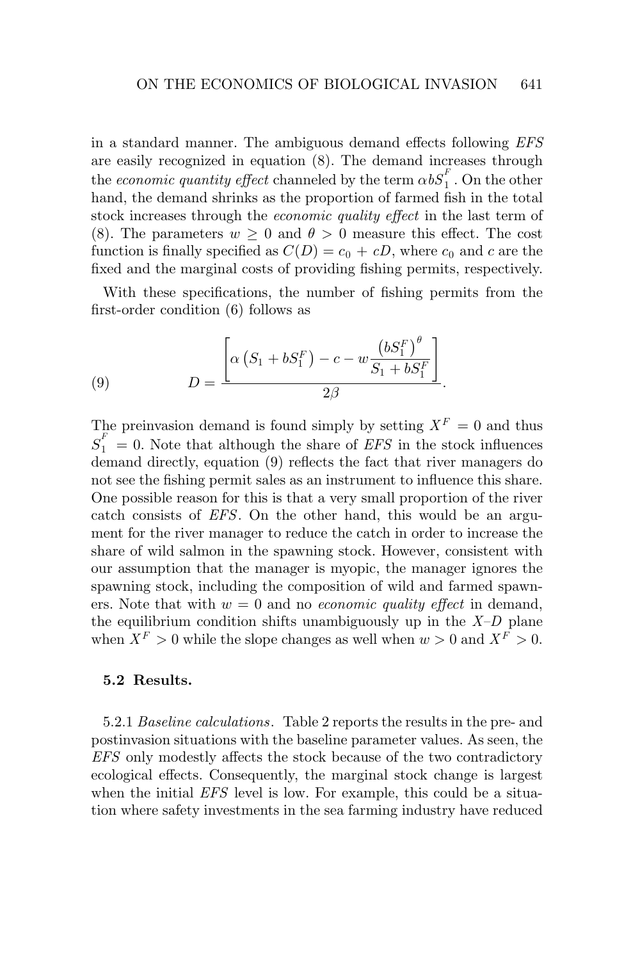in a standard manner. The ambiguous demand effects following EFS are easily recognized in equation (8). The demand increases through the *economic quantity effect* channeled by the term  $\alpha bS_1^F$ . On the other hand, the demand shrinks as the proportion of farmed fish in the total stock increases through the economic quality effect in the last term of (8). The parameters  $w \geq 0$  and  $\theta > 0$  measure this effect. The cost function is finally specified as  $C(D) = c_0 + cD$ , where  $c_0$  and c are the fixed and the marginal costs of providing fishing permits, respectively.

With these specifications, the number of fishing permits from the first-order condition (6) follows as

(9) 
$$
D = \frac{\left[\alpha \left(S_1 + bS_1^F\right) - c - w \frac{\left(bS_1^F\right)^{\theta}}{S_1 + bS_1^F}\right]}{2\beta}.
$$

The preinvasion demand is found simply by setting  $X^F = 0$  and thus  $S_1^F = 0$ . Note that although the share of *EFS* in the stock influences demand directly, equation (9) reflects the fact that river managers do not see the fishing permit sales as an instrument to influence this share. One possible reason for this is that a very small proportion of the river catch consists of EFS. On the other hand, this would be an argument for the river manager to reduce the catch in order to increase the share of wild salmon in the spawning stock. However, consistent with our assumption that the manager is myopic, the manager ignores the spawning stock, including the composition of wild and farmed spawners. Note that with  $w = 0$  and no *economic quality effect* in demand, the equilibrium condition shifts unambiguously up in the  $X-D$  plane when  $X^F > 0$  while the slope changes as well when  $w > 0$  and  $X^F > 0$ .

#### **5.2 Results.**

5.2.1 Baseline calculations. Table 2 reports the results in the pre- and postinvasion situations with the baseline parameter values. As seen, the EFS only modestly affects the stock because of the two contradictory ecological effects. Consequently, the marginal stock change is largest when the initial *EFS* level is low. For example, this could be a situation where safety investments in the sea farming industry have reduced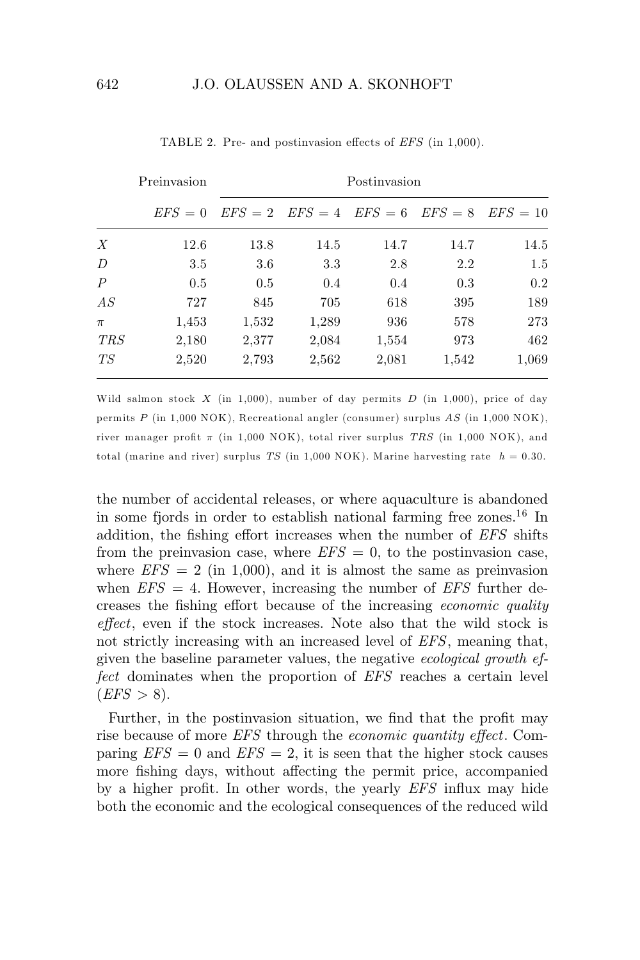|                | Preinvasion |       |                                         | Postinyasion |       |            |
|----------------|-------------|-------|-----------------------------------------|--------------|-------|------------|
|                | $EFS = 0$   |       | $EFS = 2$ $EFS = 4$ $EFS = 6$ $EFS = 8$ |              |       | $EFS = 10$ |
| X              | 12.6        | 13.8  | 14.5                                    | 14.7         | 14.7  | 14.5       |
| $\overline{D}$ | 3.5         | 3.6   | 3.3                                     | 2.8          | 2.2   | 1.5        |
| $\overline{P}$ | 0.5         | 0.5   | 0.4                                     | 0.4          | 0.3   | 0.2        |
| AS             | 727         | 845   | 705                                     | 618          | 395   | 189        |
| $\pi$          | 1,453       | 1,532 | 1,289                                   | 936          | 578   | 273        |
| <b>TRS</b>     | 2,180       | 2,377 | 2,084                                   | 1,554        | 973   | 462        |
| ТS             | 2,520       | 2,793 | 2,562                                   | 2,081        | 1,542 | 1,069      |

TABLE 2. Pre- and postinvasion effects of EFS (in 1,000).

Wild salmon stock  $X$  (in 1,000), number of day permits  $D$  (in 1,000), price of day permits  $P$  (in 1,000 NOK), Recreational angler (consumer) surplus  $AS$  (in 1,000 NOK), river manager profit  $\pi$  (in 1,000 NOK), total river surplus TRS (in 1,000 NOK), and total (marine and river) surplus TS (in 1,000 NOK). Marine harvesting rate  $h = 0.30$ .

the number of accidental releases, or where aquaculture is abandoned in some fjords in order to establish national farming free zones.16 In addition, the fishing effort increases when the number of EFS shifts from the preinvasion case, where  $EFS = 0$ , to the postinvasion case, where  $EFS = 2$  (in 1,000), and it is almost the same as preinvasion when  $EFS = 4$ . However, increasing the number of EFS further decreases the fishing effort because of the increasing economic quality effect, even if the stock increases. Note also that the wild stock is not strictly increasing with an increased level of EFS, meaning that, given the baseline parameter values, the negative ecological growth effect dominates when the proportion of EFS reaches a certain level  $(EFS > 8)$ .

Further, in the postinvasion situation, we find that the profit may rise because of more EFS through the economic quantity effect. Comparing  $EFS = 0$  and  $EFS = 2$ , it is seen that the higher stock causes more fishing days, without affecting the permit price, accompanied by a higher profit. In other words, the yearly EFS influx may hide both the economic and the ecological consequences of the reduced wild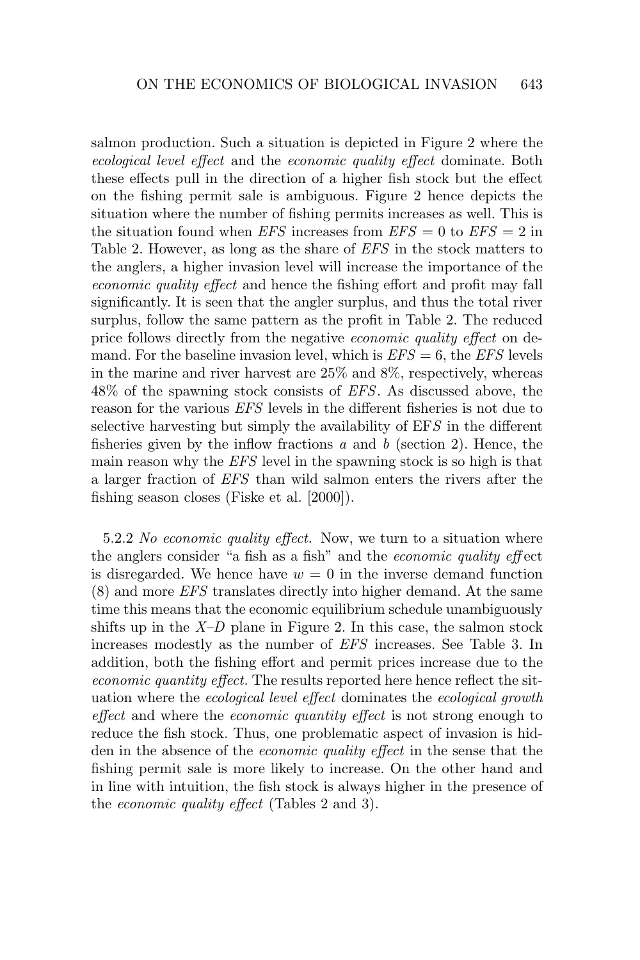salmon production. Such a situation is depicted in Figure 2 where the ecological level effect and the economic quality effect dominate. Both these effects pull in the direction of a higher fish stock but the effect on the fishing permit sale is ambiguous. Figure 2 hence depicts the situation where the number of fishing permits increases as well. This is the situation found when  $EFS$  increases from  $EFS = 0$  to  $EFS = 2$  in Table 2. However, as long as the share of EFS in the stock matters to the anglers, a higher invasion level will increase the importance of the economic quality effect and hence the fishing effort and profit may fall significantly. It is seen that the angler surplus, and thus the total river surplus, follow the same pattern as the profit in Table 2. The reduced price follows directly from the negative economic quality effect on demand. For the baseline invasion level, which is  $EFS = 6$ , the  $EFS$  levels in the marine and river harvest are 25% and 8%, respectively, whereas 48% of the spawning stock consists of EFS. As discussed above, the reason for the various EFS levels in the different fisheries is not due to selective harvesting but simply the availability of EFS in the different fisheries given by the inflow fractions  $a$  and  $b$  (section 2). Hence, the main reason why the EFS level in the spawning stock is so high is that a larger fraction of EFS than wild salmon enters the rivers after the fishing season closes (Fiske et al. [2000]).

5.2.2 No economic quality effect. Now, we turn to a situation where the anglers consider "a fish as a fish" and the *economic quality effect* is disregarded. We hence have  $w = 0$  in the inverse demand function (8) and more EFS translates directly into higher demand. At the same time this means that the economic equilibrium schedule unambiguously shifts up in the  $X-D$  plane in Figure 2. In this case, the salmon stock increases modestly as the number of EFS increases. See Table 3. In addition, both the fishing effort and permit prices increase due to the economic quantity effect. The results reported here hence reflect the situation where the ecological level effect dominates the ecological growth effect and where the *economic quantity effect* is not strong enough to reduce the fish stock. Thus, one problematic aspect of invasion is hidden in the absence of the economic quality effect in the sense that the fishing permit sale is more likely to increase. On the other hand and in line with intuition, the fish stock is always higher in the presence of the economic quality effect (Tables 2 and 3).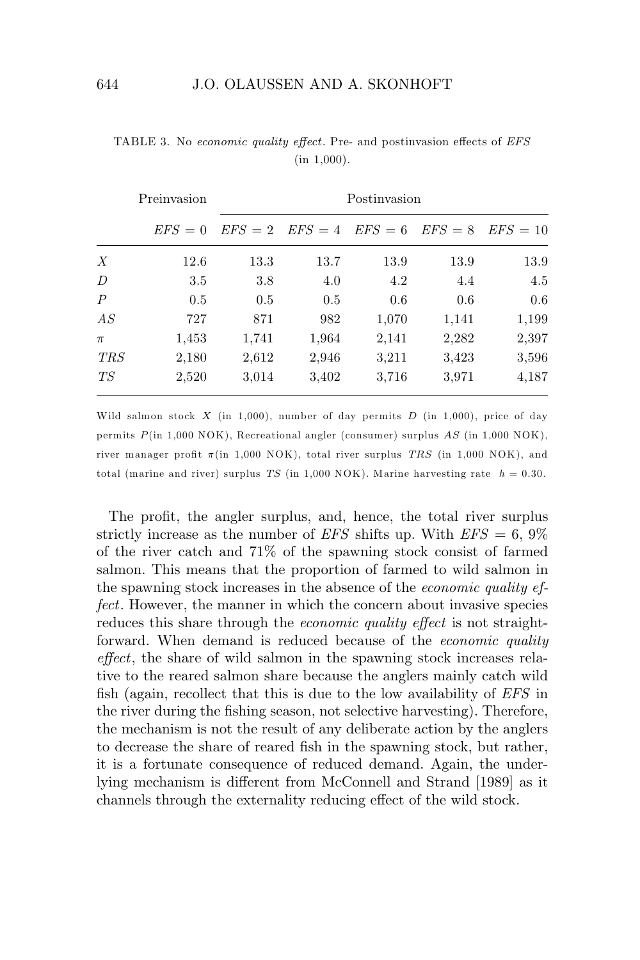|                  | Preinvasion |       |                                         | Postinyasion |       |            |
|------------------|-------------|-------|-----------------------------------------|--------------|-------|------------|
|                  | $EFS = 0$   |       | $EFS = 2$ $EFS = 4$ $EFS = 6$ $EFS = 8$ |              |       | $EFS = 10$ |
| $\boldsymbol{X}$ | 12.6        | 13.3  | 13.7                                    | 13.9         | 13.9  | 13.9       |
| D                | 3.5         | 3.8   | 4.0                                     | 4.2          | 4.4   | 4.5        |
| $\overline{P}$   | 0.5         | 0.5   | 0.5                                     | 0.6          | 0.6   | 0.6        |
| AS               | 727         | 871   | 982                                     | 1,070        | 1,141 | 1,199      |
| $\pi$            | 1,453       | 1,741 | 1,964                                   | 2,141        | 2,282 | 2,397      |
| <i>TRS</i>       | 2,180       | 2,612 | 2,946                                   | 3.211        | 3.423 | 3,596      |
| TS               | 2,520       | 3,014 | 3,402                                   | 3,716        | 3,971 | 4,187      |

TABLE 3. No economic quality effect. Pre- and postinvasion effects of EFS (in 1,000).

Wild salmon stock  $X$  (in 1,000), number of day permits  $D$  (in 1,000), price of day permits  $P$ (in 1,000 NOK), Recreational angler (consumer) surplus AS (in 1,000 NOK), river manager profit  $\pi$ (in 1,000 NOK), total river surplus TRS (in 1,000 NOK), and total (marine and river) surplus TS (in 1,000 NOK). Marine harvesting rate  $h = 0.30$ .

The profit, the angler surplus, and, hence, the total river surplus strictly increase as the number of *EFS* shifts up. With  $EFS = 6, 9\%$ of the river catch and 71% of the spawning stock consist of farmed salmon. This means that the proportion of farmed to wild salmon in the spawning stock increases in the absence of the economic quality effect. However, the manner in which the concern about invasive species reduces this share through the *economic quality effect* is not straightforward. When demand is reduced because of the *economic quality* effect, the share of wild salmon in the spawning stock increases relative to the reared salmon share because the anglers mainly catch wild fish (again, recollect that this is due to the low availability of EFS in the river during the fishing season, not selective harvesting). Therefore, the mechanism is not the result of any deliberate action by the anglers to decrease the share of reared fish in the spawning stock, but rather, it is a fortunate consequence of reduced demand. Again, the underlying mechanism is different from McConnell and Strand [1989] as it channels through the externality reducing effect of the wild stock.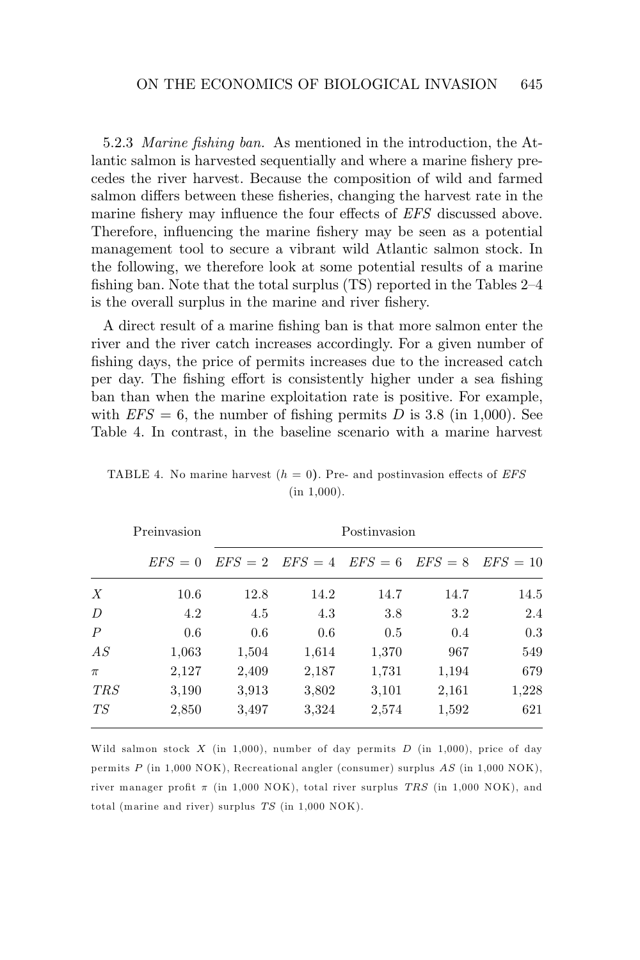5.2.3 Marine fishing ban. As mentioned in the introduction, the Atlantic salmon is harvested sequentially and where a marine fishery precedes the river harvest. Because the composition of wild and farmed salmon differs between these fisheries, changing the harvest rate in the marine fishery may influence the four effects of EFS discussed above. Therefore, influencing the marine fishery may be seen as a potential management tool to secure a vibrant wild Atlantic salmon stock. In the following, we therefore look at some potential results of a marine fishing ban. Note that the total surplus (TS) reported in the Tables 2–4 is the overall surplus in the marine and river fishery.

A direct result of a marine fishing ban is that more salmon enter the river and the river catch increases accordingly. For a given number of fishing days, the price of permits increases due to the increased catch per day. The fishing effort is consistently higher under a sea fishing ban than when the marine exploitation rate is positive. For example, with  $EFS = 6$ , the number of fishing permits D is 3.8 (in 1,000). See Table 4. In contrast, in the baseline scenario with a marine harvest

|                  | Preinvasion |       |                                         | Postinyasion |       |            |
|------------------|-------------|-------|-----------------------------------------|--------------|-------|------------|
|                  | $EFS = 0$   |       | $EFS = 2$ $EFS = 4$ $EFS = 6$ $EFS = 8$ |              |       | $EFS = 10$ |
| Х                | 10.6        | 12.8  | 14.2                                    | 14.7         | 14.7  | 14.5       |
| D                | 4.2         | 4.5   | 4.3                                     | 3.8          | 3.2   | 2.4        |
| $\boldsymbol{P}$ | 0.6         | 0.6   | 0.6                                     | 0.5          | 0.4   | 0.3        |
| AS               | 1,063       | 1,504 | 1,614                                   | 1,370        | 967   | 549        |
| $\pi$            | 2,127       | 2,409 | 2,187                                   | 1,731        | 1,194 | 679        |
| <b>TRS</b>       | 3,190       | 3.913 | 3,802                                   | 3.101        | 2,161 | 1,228      |
| TS               | 2,850       | 3.497 | 3.324                                   | 2,574        | 1,592 | 621        |

TABLE 4. No marine harvest  $(h = 0)$ . Pre- and postinvasion effects of *EFS* (in 1,000).

Wild salmon stock  $X$  (in 1,000), number of day permits  $D$  (in 1,000), price of day permits  $P$  (in 1,000 NOK), Recreational angler (consumer) surplus AS (in 1,000 NOK), river manager profit  $\pi$  (in 1,000 NOK), total river surplus TRS (in 1,000 NOK), and total (marine and river) surplus  $TS$  (in 1,000 NOK).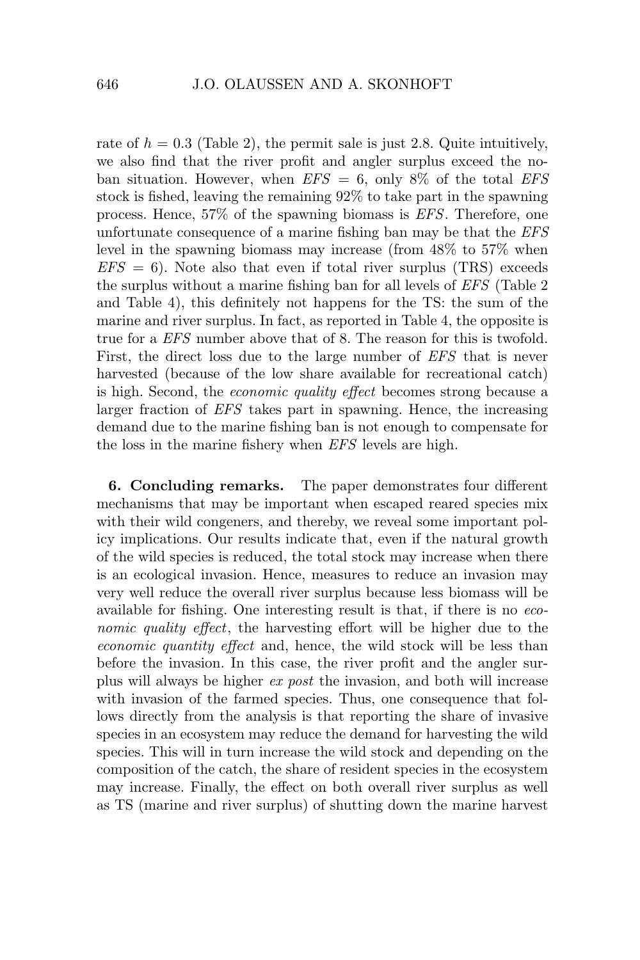rate of  $h = 0.3$  (Table 2), the permit sale is just 2.8. Quite intuitively, we also find that the river profit and angler surplus exceed the noban situation. However, when  $EFS = 6$ , only 8% of the total  $EFS$ stock is fished, leaving the remaining 92% to take part in the spawning process. Hence, 57% of the spawning biomass is EFS. Therefore, one unfortunate consequence of a marine fishing ban may be that the EFS level in the spawning biomass may increase (from 48% to 57% when  $EFS = 6$ ). Note also that even if total river surplus (TRS) exceeds the surplus without a marine fishing ban for all levels of EFS (Table 2 and Table 4), this definitely not happens for the TS: the sum of the marine and river surplus. In fact, as reported in Table 4, the opposite is true for a EFS number above that of 8. The reason for this is twofold. First, the direct loss due to the large number of EFS that is never harvested (because of the low share available for recreational catch) is high. Second, the economic quality effect becomes strong because a larger fraction of EFS takes part in spawning. Hence, the increasing demand due to the marine fishing ban is not enough to compensate for the loss in the marine fishery when EFS levels are high.

**6. Concluding remarks.** The paper demonstrates four different mechanisms that may be important when escaped reared species mix with their wild congeners, and thereby, we reveal some important policy implications. Our results indicate that, even if the natural growth of the wild species is reduced, the total stock may increase when there is an ecological invasion. Hence, measures to reduce an invasion may very well reduce the overall river surplus because less biomass will be available for fishing. One interesting result is that, if there is no economic quality effect, the harvesting effort will be higher due to the economic quantity effect and, hence, the wild stock will be less than before the invasion. In this case, the river profit and the angler surplus will always be higher ex post the invasion, and both will increase with invasion of the farmed species. Thus, one consequence that follows directly from the analysis is that reporting the share of invasive species in an ecosystem may reduce the demand for harvesting the wild species. This will in turn increase the wild stock and depending on the composition of the catch, the share of resident species in the ecosystem may increase. Finally, the effect on both overall river surplus as well as TS (marine and river surplus) of shutting down the marine harvest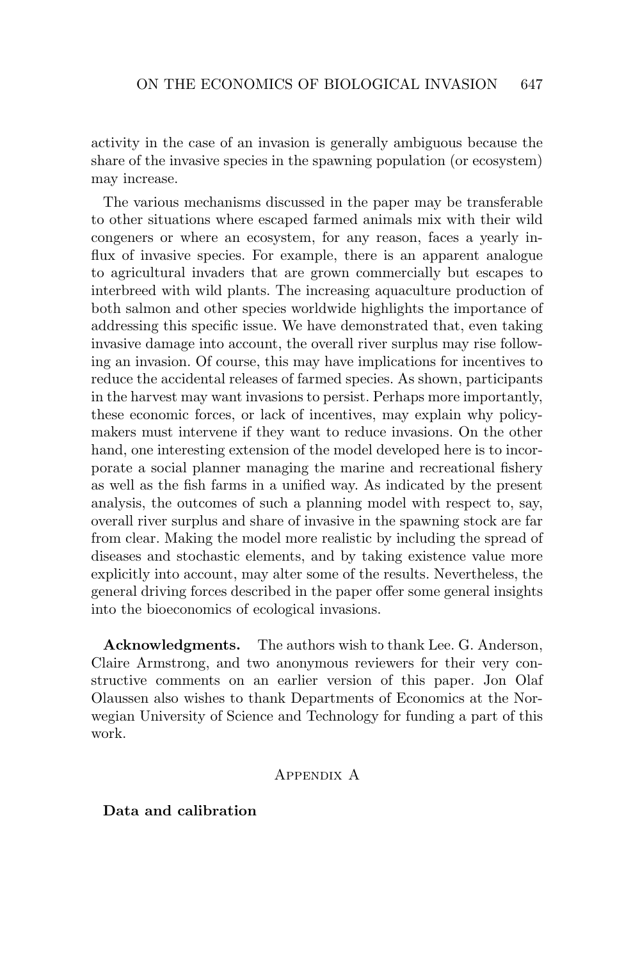activity in the case of an invasion is generally ambiguous because the share of the invasive species in the spawning population (or ecosystem) may increase.

The various mechanisms discussed in the paper may be transferable to other situations where escaped farmed animals mix with their wild congeners or where an ecosystem, for any reason, faces a yearly influx of invasive species. For example, there is an apparent analogue to agricultural invaders that are grown commercially but escapes to interbreed with wild plants. The increasing aquaculture production of both salmon and other species worldwide highlights the importance of addressing this specific issue. We have demonstrated that, even taking invasive damage into account, the overall river surplus may rise following an invasion. Of course, this may have implications for incentives to reduce the accidental releases of farmed species. As shown, participants in the harvest may want invasions to persist. Perhaps more importantly, these economic forces, or lack of incentives, may explain why policymakers must intervene if they want to reduce invasions. On the other hand, one interesting extension of the model developed here is to incorporate a social planner managing the marine and recreational fishery as well as the fish farms in a unified way. As indicated by the present analysis, the outcomes of such a planning model with respect to, say, overall river surplus and share of invasive in the spawning stock are far from clear. Making the model more realistic by including the spread of diseases and stochastic elements, and by taking existence value more explicitly into account, may alter some of the results. Nevertheless, the general driving forces described in the paper offer some general insights into the bioeconomics of ecological invasions.

**Acknowledgments.** The authors wish to thank Lee. G. Anderson, Claire Armstrong, and two anonymous reviewers for their very constructive comments on an earlier version of this paper. Jon Olaf Olaussen also wishes to thank Departments of Economics at the Norwegian University of Science and Technology for funding a part of this work.

## Appendix A

## **Data and calibration**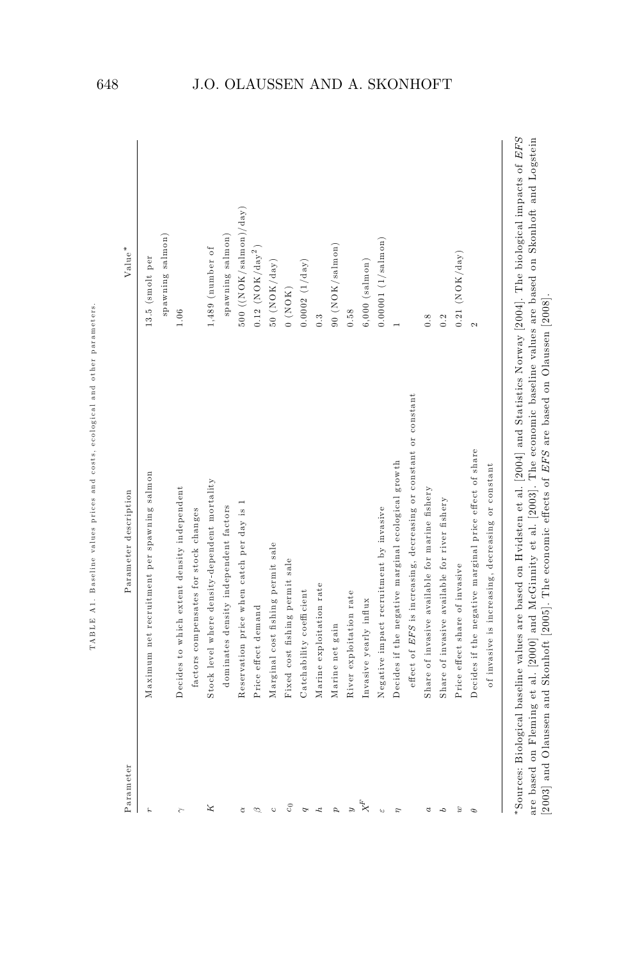| í<br>j<br>í<br>Ì<br>ï<br>ī<br>í<br>Ì<br>ï<br>î<br>ı<br>ł<br>j<br>₫<br>ت      |
|------------------------------------------------------------------------------|
| ١<br>j<br>j<br>∃<br>ź                                                        |
| í<br>ł<br>j<br>í<br>j<br>ú<br>I<br>ï<br>١<br>ì<br>j<br>١<br>ś<br>j<br>¢<br>ì |
| ç<br>b<br>ï<br>ò<br>é<br>ì<br>ċ<br>j                                         |
| ರ<br>$\blacksquare$<br>ä                                                     |
| es<br>¢<br>j<br>ì<br>i<br>$\overline{\phantom{a}}$<br>Í                      |
| b<br>ī<br>j<br>í<br>ł<br>ś                                                   |
| j<br>j<br>₿<br>j<br>ä,<br>j<br>ò<br>ŝ<br>I<br>ì                              |
| ł<br>ł<br>d                                                                  |
| İ<br>Į<br>ļ<br>١<br>J<br>ć<br>١<br>l<br>í<br>۴<br>ł                          |

| Parameter     | Parameter description                                           | Value*                       |
|---------------|-----------------------------------------------------------------|------------------------------|
|               | Maximum net recruitment per spawning salmon                     | 13.5 (smolt per              |
|               |                                                                 | spawning salmon)             |
| پ             | Decides to which extent density independent                     | 1.06                         |
|               | factors compensates for stock changes                           |                              |
| ×             | Stock level where density-dependent mortality                   | 1,489 (number of             |
|               | dominates density independent factors                           | spawning salmon)             |
| ð             | Reservation price when catch per day is 1                       | $500$ ((NOK/salmon)/day)     |
|               | Price effect demand                                             | 0.12~(NOK/day <sup>2</sup> ) |
|               | Marginal cost fishing permit sale                               | $50~(NOK/day)$               |
| $\mathbb{C}0$ | Fixed cost fishing permit sale                                  | $0$ (NOK)                    |
| G             | Catchability coefficient                                        | 0.0002 (1/day)               |
| h             | Marine exploitation rate                                        | $\frac{3}{2}$                |
| p             | Marine net gain                                                 | 90 (NOK/salmon)              |
| $\tilde{a}$   | River exploitation rate                                         | 0.58                         |
| $x^{4}$       | Invasive yearly influx                                          | $6,000$ (salmon)             |
|               | Negative impact recruitment by invasive                         | 0.00001 (1/salmon)           |
|               | Decides if the negative marginal ecological growth              |                              |
|               | effect of EFS is increasing, decreasing or constant or constant |                              |
| d             | Share of invasive available for marine fishery                  | $\ddot{0}$ .                 |
|               | Share of invasive available for river fishery                   | 0.2                          |
| э             | Price effect share of invasive                                  | $0.21$ (NOK/day)             |
|               | Decides if the negative marginal price effect of share          |                              |
|               | of invasive is increasing, decreasing or constant               |                              |
|               |                                                                 |                              |

 $*$ Sources: Biological baseline values are based on Hvidsten et al. [2004] and Statistics Norway [2004]. The biological impacts of *EFS*<br>are based on Fleming et al. [2000] and McGimnity et al. [2003]. The economic baselin ∗Sources: Biological baseline values are based on Hvidsten et al. [2004] and Statistics Norway [2004]. The biological impacts of EFS are based on Fleming et al. [2000] and McGinnity et al. [2003]. The economic baseline values are based on Skonhoft and Logstein [2003] and Olaussen and Skonhoft [2005]. The economic effects of EFS are based on Olaussen [2008]. [2003] and Olaussen and Skonhoft [2005]. The economic effects of EFS are based on Olaussen [2008].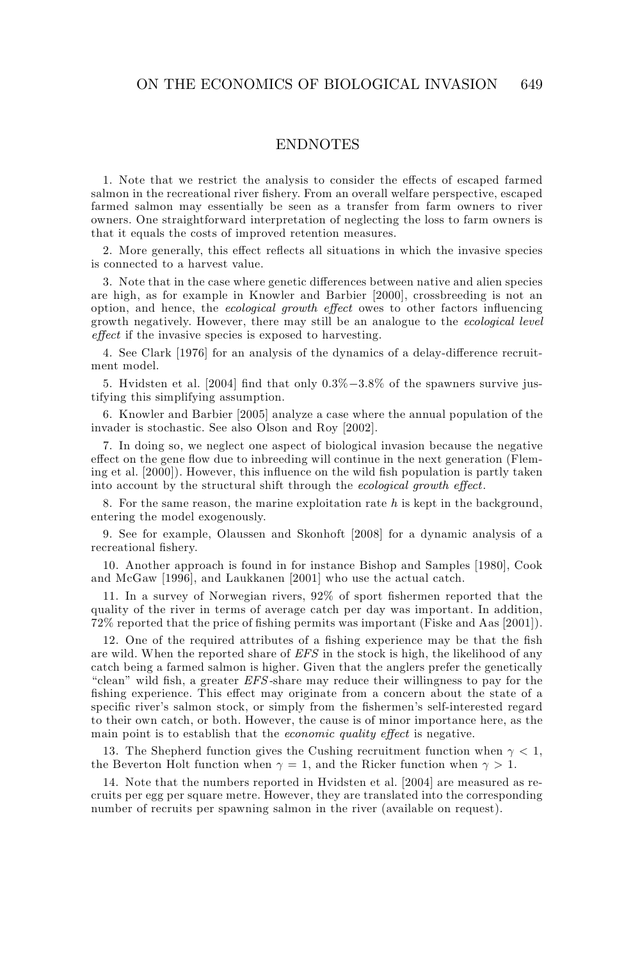#### ENDNOTES

1. Note that we restrict the analysis to consider the effects of escaped farmed salmon in the recreational river fishery. From an overall welfare perspective, escaped farmed salmon may essentially be seen as a transfer from farm owners to river owners. One straightforward interpretation of neglecting the loss to farm owners is that it equals the costs of improved retention measures.

2. More generally, this effect reflects all situations in which the invasive species is connected to a harvest value.

3. Note that in the case where genetic differences between native and alien species are high, as for example in Knowler and Barbier [2000], crossbreeding is not an option, and hence, the ecological growth effect owes to other factors influencing growth negatively. However, there may still be an analogue to the ecological level effect if the invasive species is exposed to harvesting.

4. See Clark [1976] for an analysis of the dynamics of a delay-difference recruitment model.

5. Hvidsten et al. [2004] find that only 0.3%−3.8% of the spawners survive justifying this simplifying assumption.

6. Knowler and Barbier [2005] analyze a case where the annual population of the invader is stochastic. See also Olson and Roy [2002].

7. In doing so, we neglect one aspect of biological invasion because the negative effect on the gene flow due to inbreeding will continue in the next generation (Fleming et al. [2000]). However, this influence on the wild fish population is partly taken into account by the structural shift through the ecological growth effect.

8. For the same reason, the marine exploitation rate  $h$  is kept in the background, entering the model exogenously.

9. See for example, Olaussen and Skonhoft [2008] for a dynamic analysis of a recreational fishery.

10. Another approach is found in for instance Bishop and Samples [1980], Cook and McGaw [1996], and Laukkanen [2001] who use the actual catch.

11. In a survey of Norwegian rivers, 92% of sport fishermen reported that the quality of the river in terms of average catch per day was important. In addition, 72% reported that the price of fishing permits was important (Fiske and Aas [2001]).

12. One of the required attributes of a fishing experience may be that the fish are wild. When the reported share of EFS in the stock is high, the likelihood of any catch being a farmed salmon is higher. Given that the anglers prefer the genetically "clean" wild fish, a greater EFS -share may reduce their willingness to pay for the fishing experience. This effect may originate from a concern about the state of a specific river's salmon stock, or simply from the fishermen's self-interested regard to their own catch, or both. However, the cause is of minor importance here, as the main point is to establish that the economic quality effect is negative.

13. The Shepherd function gives the Cushing recruitment function when  $\gamma < 1$ , the Beverton Holt function when  $\gamma = 1$ , and the Ricker function when  $\gamma > 1$ .

14. Note that the numbers reported in Hvidsten et al. [2004] are measured as recruits per egg per square metre. However, they are translated into the corresponding number of recruits per spawning salmon in the river (available on request).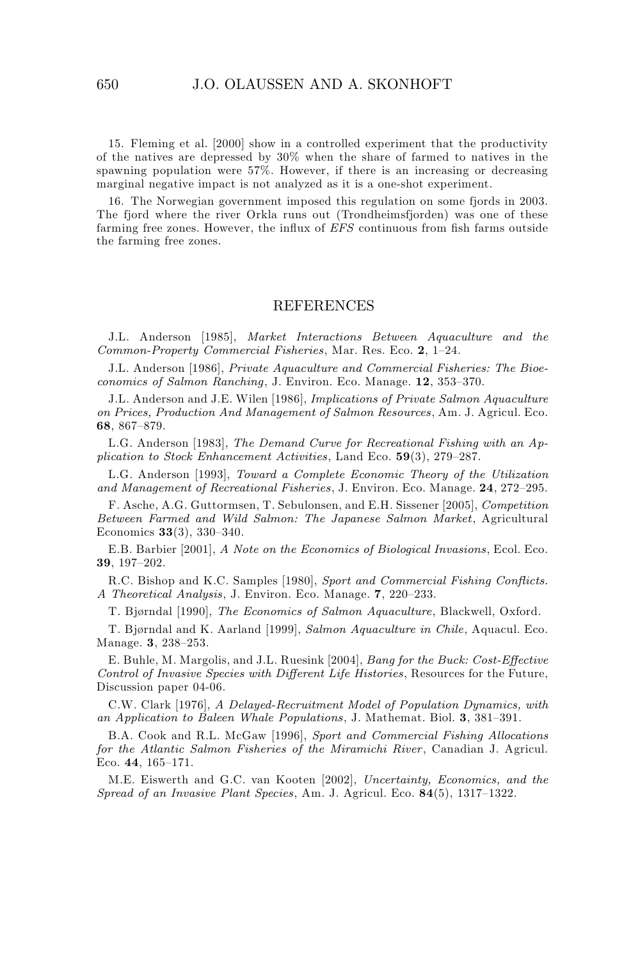15. Fleming et al. [2000] show in a controlled experiment that the productivity of the natives are depressed by 30% when the share of farmed to natives in the spawning population were 57%. However, if there is an increasing or decreasing marginal negative impact is not analyzed as it is a one-shot experiment.

16. The Norwegian government imposed this regulation on some fjords in 2003. The fjord where the river Orkla runs out (Trondheimsfjorden) was one of these farming free zones. However, the influx of EFS continuous from fish farms outside the farming free zones.

#### REFERENCES

J.L. Anderson [1985], Market Interactions Between Aquaculture and the Common-Property Commercial Fisheries, Mar. Res. Eco. **2**, 1–24.

J.L. Anderson [1986], Private Aquaculture and Commercial Fisheries: The Bioeconomics of Salmon Ranching, J. Environ. Eco. Manage. **12**, 353–370.

J.L. Anderson and J.E. Wilen [1986], Implications of Private Salmon Aquaculture on Prices, Production And Management of Salmon Resources, Am. J. Agricul. Eco. **68**, 867–879.

L.G. Anderson [1983], The Demand Curve for Recreational Fishing with an Application to Stock Enhancement Activities, Land Eco. **59**(3), 279–287.

L.G. Anderson [1993], Toward a Complete Economic Theory of the Utilization and Management of Recreational Fisheries, J. Environ. Eco. Manage. **24**, 272–295.

F. Asche, A.G. Guttormsen, T. Sebulonsen, and E.H. Sissener [2005], Competition Between Farmed and Wild Salmon: The Japanese Salmon Market, Agricultural Economics **33**(3), 330–340.

E.B. Barbier [2001], A Note on the Economics of Biological Invasions, Ecol. Eco. **39**, 197–202.

R.C. Bishop and K.C. Samples [1980], Sport and Commercial Fishing Conflicts. A Theoretical Analysis, J. Environ. Eco. Manage. **7**, 220–233.

T. Bjørndal [1990], The Economics of Salmon Aquaculture, Blackwell, Oxford.

T. Bjørndal and K. Aarland [1999], Salmon Aquaculture in Chile, Aquacul. Eco. Manage. **3**, 238–253.

E. Buhle, M. Margolis, and J.L. Ruesink [2004], Bang for the Buck: Cost-Effective Control of Invasive Species with Different Life Histories, Resources for the Future, Discussion paper 04-06.

C.W. Clark [1976], A Delayed-Recruitment Model of Population Dynamics, with an Application to Baleen Whale Populations, J. Mathemat. Biol. **3**, 381–391.

B.A. Cook and R.L. McGaw [1996], Sport and Commercial Fishing Allocations for the Atlantic Salmon Fisheries of the Miramichi River, Canadian J. Agricul. Eco. **44**, 165–171.

M.E. Eiswerth and G.C. van Kooten [2002], Uncertainty, Economics, and the Spread of an Invasive Plant Species, Am. J. Agricul. Eco. **84**(5), 1317–1322.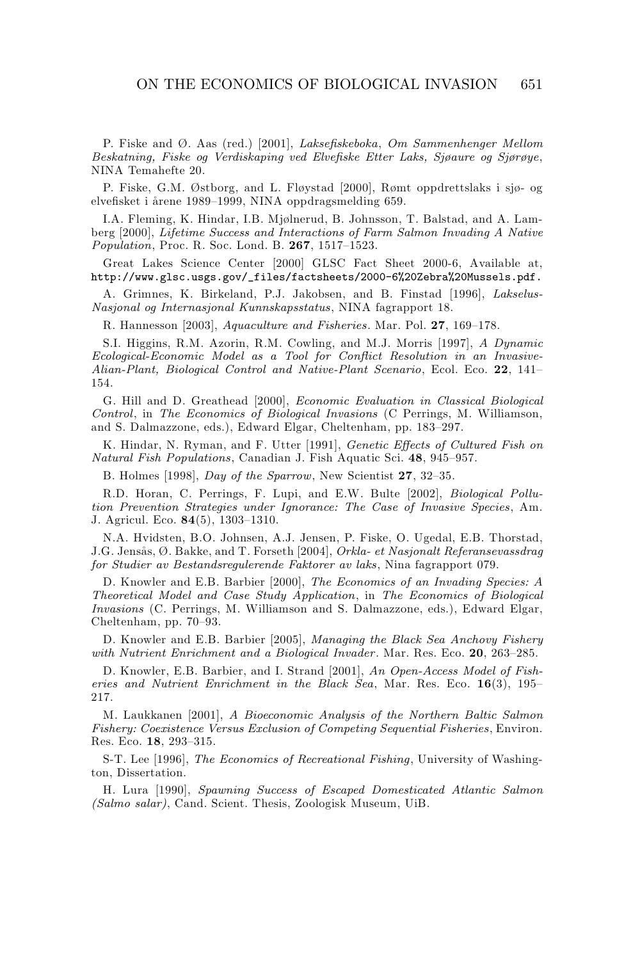P. Fiske and Ø. Aas (red.) [2001], Laksefiskeboka, Om Sammenhenger Mellom Beskatning, Fiske og Verdiskaping ved Elvefiske Etter Laks, Sjøaure og Sjørøye, NINA Temahefte 20.

P. Fiske, G.M. Østborg, and L. Fløystad [2000], Rømt oppdrettslaks i sjø- og elvefisket i årene 1989–1999, NINA oppdragsmelding 659.

I.A. Fleming, K. Hindar, I.B. Mjølnerud, B. Johnsson, T. Balstad, and A. Lamberg [2000], Lifetime Success and Interactions of Farm Salmon Invading A Native Population, Proc. R. Soc. Lond. B. **267**, 1517–1523.

Great Lakes Science Center [2000] GLSC Fact Sheet 2000-6, Available at, http://www.glsc.usgs.gov/\_files/factsheets/2000-6%20Zebra%20Mussels.pdf.

A. Grimnes, K. Birkeland, P.J. Jakobsen, and B. Finstad [1996], Lakselus-Nasjonal og Internasjonal Kunnskapsstatus, NINA fagrapport 18.

R. Hannesson [2003], Aquaculture and Fisheries. Mar. Pol. **27**, 169–178.

S.I. Higgins, R.M. Azorin, R.M. Cowling, and M.J. Morris [1997], A Dynamic Ecological-Economic Model as a Tool for Conflict Resolution in an Invasive-Alian-Plant, Biological Control and Native-Plant Scenario, Ecol. Eco. **22**, 141– 154.

G. Hill and D. Greathead [2000], Economic Evaluation in Classical Biological Control, in The Economics of Biological Invasions (C Perrings, M. Williamson, and S. Dalmazzone, eds.), Edward Elgar, Cheltenham, pp. 183–297.

K. Hindar, N. Ryman, and F. Utter [1991], Genetic Effects of Cultured Fish on Natural Fish Populations, Canadian J. Fish Aquatic Sci. **48**, 945–957.

B. Holmes [1998], Day of the Sparrow, New Scientist **27**, 32–35.

R.D. Horan, C. Perrings, F. Lupi, and E.W. Bulte [2002], Biological Pollution Prevention Strategies under Ignorance: The Case of Invasive Species, Am. J. Agricul. Eco. **84**(5), 1303–1310.

N.A. Hvidsten, B.O. Johnsen, A.J. Jensen, P. Fiske, O. Ugedal, E.B. Thorstad, J.G. Jensås, Ø. Bakke, and T. Forseth [2004], Orkla- et Nasjonalt Referansevassdrag for Studier av Bestandsregulerende Faktorer av laks, Nina fagrapport 079.

D. Knowler and E.B. Barbier [2000], The Economics of an Invading Species: A Theoretical Model and Case Study Application, in The Economics of Biological Invasions (C. Perrings, M. Williamson and S. Dalmazzone, eds.), Edward Elgar, Cheltenham, pp. 70–93.

D. Knowler and E.B. Barbier [2005], Managing the Black Sea Anchovy Fishery with Nutrient Enrichment and a Biological Invader. Mar. Res. Eco. **20**, 263–285.

D. Knowler, E.B. Barbier, and I. Strand [2001], An Open-Access Model of Fisheries and Nutrient Enrichment in the Black Sea, Mar. Res. Eco. **16**(3), 195– 217.

M. Laukkanen [2001], A Bioeconomic Analysis of the Northern Baltic Salmon Fishery: Coexistence Versus Exclusion of Competing Sequential Fisheries, Environ. Res. Eco. **18**, 293–315.

S-T. Lee [1996], The Economics of Recreational Fishing, University of Washington, Dissertation.

H. Lura [1990], Spawning Success of Escaped Domesticated Atlantic Salmon (Salmo salar), Cand. Scient. Thesis, Zoologisk Museum, UiB.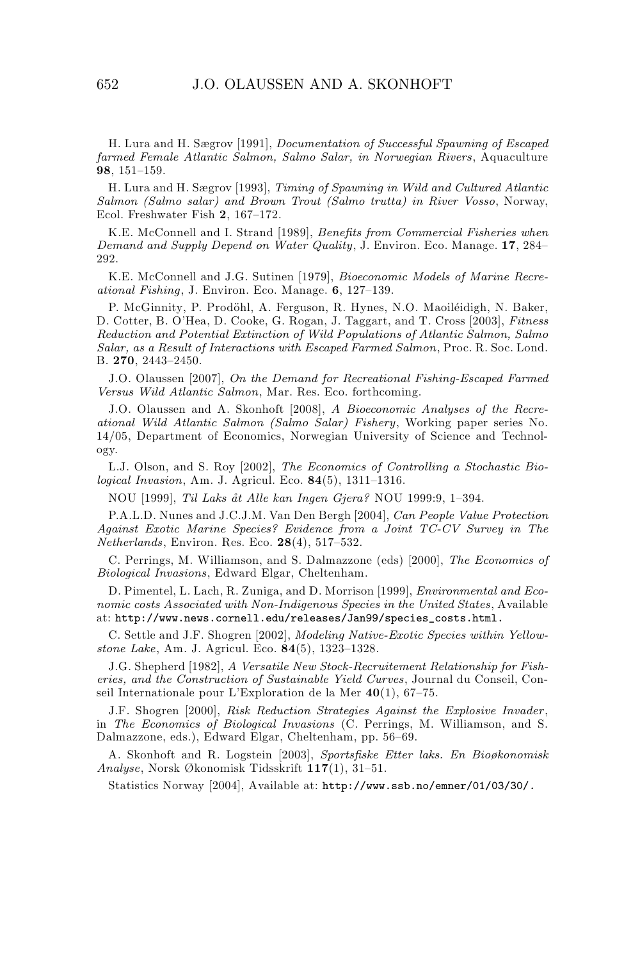H. Lura and H. Sægrov [1991], Documentation of Successful Spawning of Escaped farmed Female Atlantic Salmon, Salmo Salar, in Norwegian Rivers, Aquaculture **98**, 151–159.

H. Lura and H. Sægrov [1993], Timing of Spawning in Wild and Cultured Atlantic Salmon (Salmo salar) and Brown Trout (Salmo trutta) in River Vosso, Norway, Ecol. Freshwater Fish **2**, 167–172.

K.E. McConnell and I. Strand [1989], Benefits from Commercial Fisheries when Demand and Supply Depend on Water Quality, J. Environ. Eco. Manage. **17**, 284– 292.

K.E. McConnell and J.G. Sutinen [1979], Bioeconomic Models of Marine Recreational Fishing, J. Environ. Eco. Manage. **6**, 127–139.

P. McGinnity, P. Prodöhl, A. Ferguson, R. Hynes, N.O. Maoiléidigh, N. Baker, D. Cotter, B. O'Hea, D. Cooke, G. Rogan, J. Taggart, and T. Cross [2003], Fitness Reduction and Potential Extinction of Wild Populations of Atlantic Salmon, Salmo Salar, as a Result of Interactions with Escaped Farmed Salmon, Proc. R. Soc. Lond. B. **270**, 2443–2450.

J.O. Olaussen [2007], On the Demand for Recreational Fishing-Escaped Farmed Versus Wild Atlantic Salmon, Mar. Res. Eco. forthcoming.

J.O. Olaussen and A. Skonhoft [2008], A Bioeconomic Analyses of the Recreational Wild Atlantic Salmon (Salmo Salar) Fishery, Working paper series No. 14/05, Department of Economics, Norwegian University of Science and Technology.

L.J. Olson, and S. Roy [2002], The Economics of Controlling a Stochastic Biological Invasion, Am. J. Agricul. Eco. **84**(5), 1311–1316.

NOU [1999], *Til Laks åt Alle kan Ingen Gjera?* NOU 1999:9, 1–394.

P.A.L.D. Nunes and J.C.J.M. Van Den Bergh [2004], Can People Value Protection Against Exotic Marine Species? Evidence from a Joint TC-CV Survey in The Netherlands, Environ. Res. Eco. **28**(4), 517–532.

C. Perrings, M. Williamson, and S. Dalmazzone (eds) [2000], The Economics of Biological Invasions, Edward Elgar, Cheltenham.

D. Pimentel, L. Lach, R. Zuniga, and D. Morrison [1999], Environmental and Economic costs Associated with Non-Indigenous Species in the United States, Available at: http://www.news.cornell.edu/releases/Jan99/species\_costs.html.

C. Settle and J.F. Shogren [2002], Modeling Native-Exotic Species within Yellowstone Lake, Am. J. Agricul. Eco. **84**(5), 1323–1328.

J.G. Shepherd [1982], A Versatile New Stock-Recruitement Relationship for Fisheries, and the Construction of Sustainable Yield Curves, Journal du Conseil, Conseil Internationale pour L'Exploration de la Mer **40**(1), 67–75.

J.F. Shogren [2000], Risk Reduction Strategies Against the Explosive Invader, in The Economics of Biological Invasions (C. Perrings, M. Williamson, and S. Dalmazzone, eds.), Edward Elgar, Cheltenham, pp. 56–69.

A. Skonhoft and R. Logstein [2003], Sportsfiske Etter laks. En Bioøkonomisk Analyse, Norsk Økonomisk Tidsskrift **117**(1), 31–51.

Statistics Norway [2004], Available at: http://www.ssb.no/emner/01/03/30/.